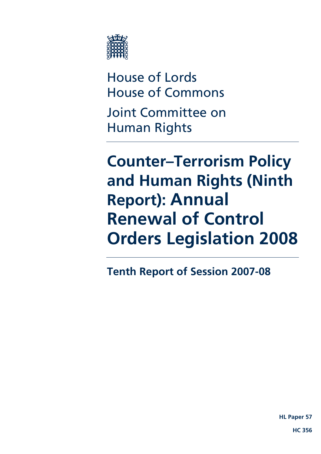

House of Lords House of Commons Joint Committee on Human Rights

# **Counter–Terrorism Policy and Human Rights (Ninth Report): Annual Renewal of Control Orders Legislation 2008**

**Tenth Report of Session 2007-08** 

**HL Paper 57**

 **HC 356**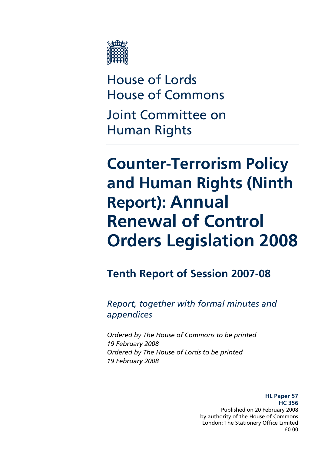

House of Lords House of Commons Joint Committee on Human Rights

# **Counter-Terrorism Policy and Human Rights (Ninth Report): Annual Renewal of Control Orders Legislation 2008**

**Tenth Report of Session 2007-08** 

*Report, together with formal minutes and appendices* 

*Ordered by The House of Commons to be printed 19 February 2008 Ordered by The House of Lords to be printed 19 February 2008* 

> **HL Paper 57 HC 356**  Published on 20 February 2008 by authority of the House of Commons London: The Stationery Office Limited £0.00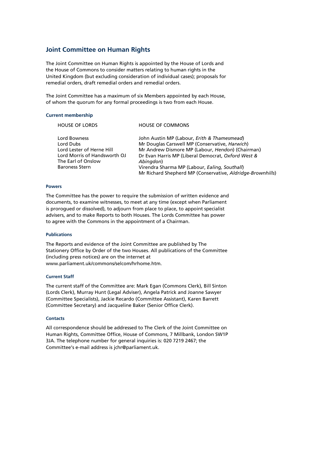#### **Joint Committee on Human Rights**

The Joint Committee on Human Rights is appointed by the House of Lords and the House of Commons to consider matters relating to human rights in the United Kingdom (but excluding consideration of individual cases); proposals for remedial orders, draft remedial orders and remedial orders.

The Joint Committee has a maximum of six Members appointed by each House, of whom the quorum for any formal proceedings is two from each House.

#### **Current membership**

| <b>HOUSE OF LORDS</b>                                                                                                                 | <b>HOUSE OF COMMONS</b>                                                                                                                                                                                                                                                                                                             |
|---------------------------------------------------------------------------------------------------------------------------------------|-------------------------------------------------------------------------------------------------------------------------------------------------------------------------------------------------------------------------------------------------------------------------------------------------------------------------------------|
| Lord Bowness<br>Lord Dubs<br>Lord Lester of Herne Hill<br>Lord Morris of Handsworth OJ<br>The Earl of Onslow<br><b>Baroness Stern</b> | John Austin MP (Labour, Erith & Thamesmead)<br>Mr Douglas Carswell MP (Conservative, Harwich)<br>Mr Andrew Dismore MP (Labour, Hendon) (Chairman)<br>Dr Evan Harris MP (Liberal Democrat, Oxford West &<br>Abingdon)<br>Virendra Sharma MP (Labour, Ealing, Southall)<br>Mr Richard Shepherd MP (Conservative, Aldridge-Brownhills) |
|                                                                                                                                       |                                                                                                                                                                                                                                                                                                                                     |

#### **Powers**

The Committee has the power to require the submission of written evidence and documents, to examine witnesses, to meet at any time (except when Parliament is prorogued or dissolved), to adjourn from place to place, to appoint specialist advisers, and to make Reports to both Houses. The Lords Committee has power to agree with the Commons in the appointment of a Chairman.

#### **Publications**

The Reports and evidence of the Joint Committee are published by The Stationery Office by Order of the two Houses. All publications of the Committee (including press notices) are on the internet at www.parliament.uk/commons/selcom/hrhome.htm.

#### **Current Staff**

The current staff of the Committee are: Mark Egan (Commons Clerk), Bill Sinton (Lords Clerk), Murray Hunt (Legal Adviser), Angela Patrick and Joanne Sawyer (Committee Specialists), Jackie Recardo (Committee Assistant), Karen Barrett (Committee Secretary) and Jacqueline Baker (Senior Office Clerk).

#### **Contacts**

All correspondence should be addressed to The Clerk of the Joint Committee on Human Rights, Committee Office, House of Commons, 7 Millbank, London SW1P 3JA. The telephone number for general inquiries is: 020 7219 2467; the Committee's e-mail address is jchr@parliament.uk.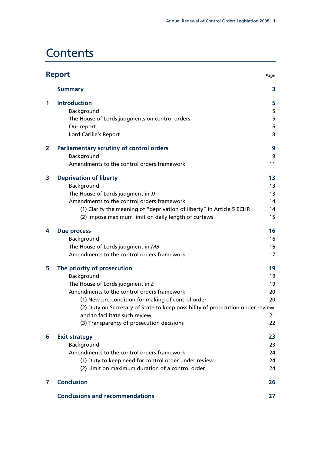# **Contents**

|                | <b>Report</b><br>Page                                                                                                                                                                                                                                                                                                                            |                                        |
|----------------|--------------------------------------------------------------------------------------------------------------------------------------------------------------------------------------------------------------------------------------------------------------------------------------------------------------------------------------------------|----------------------------------------|
|                | <b>Summary</b>                                                                                                                                                                                                                                                                                                                                   | 3                                      |
| 1              | <b>Introduction</b><br>Background<br>The House of Lords judgments on control orders<br>Our report<br>Lord Carlile's Report                                                                                                                                                                                                                       | 5<br>5<br>5<br>6<br>8                  |
| $\overline{2}$ | <b>Parliamentary scrutiny of control orders</b><br>Background<br>Amendments to the control orders framework                                                                                                                                                                                                                                      | 9<br>9<br>11                           |
| 3              | <b>Deprivation of liberty</b><br>Background<br>The House of Lords judgment in JJ<br>Amendments to the control orders framework<br>(1) Clarify the meaning of "deprivation of liberty" in Article 5 ECHR<br>(2) Impose maximum limit on daily length of curfews                                                                                   | 13<br>13<br>13<br>14<br>14<br>15       |
| 4              | <b>Due process</b><br>Background<br>The House of Lords judgment in MB<br>Amendments to the control orders framework                                                                                                                                                                                                                              | 16<br>16<br>16<br>17                   |
| 5              | The priority of prosecution<br>Background<br>The House of Lords judgment in E<br>Amendments to the control orders framework<br>(1) New pre-condition for making of control order<br>(2) Duty on Secretary of State to keep possibility of prosecution under review<br>and to facilitate such review<br>(3) Transparency of prosecution decisions | 19<br>19<br>19<br>20<br>20<br>21<br>22 |
| 6              | <b>Exit strategy</b><br>Background<br>Amendments to the control orders framework<br>(1) Duty to keep need for control order under review<br>(2) Limit on maximum duration of a control order                                                                                                                                                     | 23<br>23<br>24<br>24<br>24             |
| 7              | <b>Conclusion</b>                                                                                                                                                                                                                                                                                                                                | 26                                     |
|                | <b>Conclusions and recommendations</b>                                                                                                                                                                                                                                                                                                           | 27                                     |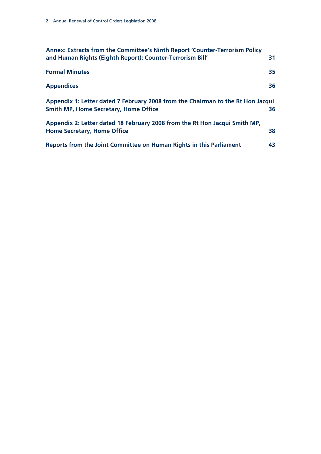| Annex: Extracts from the Committee's Ninth Report 'Counter-Terrorism Policy<br>and Human Rights (Eighth Report): Counter-Terrorism Bill' | 31 |
|------------------------------------------------------------------------------------------------------------------------------------------|----|
| <b>Formal Minutes</b>                                                                                                                    | 35 |
| <b>Appendices</b>                                                                                                                        | 36 |
| Appendix 1: Letter dated 7 February 2008 from the Chairman to the Rt Hon Jacqui<br><b>Smith MP, Home Secretary, Home Office</b>          | 36 |
| Appendix 2: Letter dated 18 February 2008 from the Rt Hon Jacqui Smith MP,<br><b>Home Secretary, Home Office</b>                         | 38 |
| Reports from the Joint Committee on Human Rights in this Parliament                                                                      | 43 |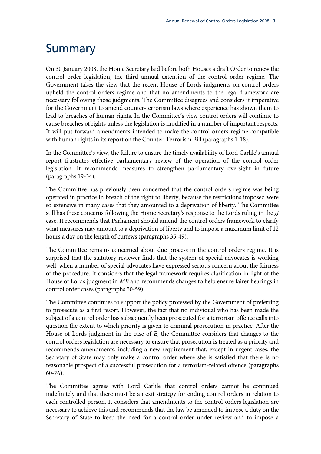### Summary

On 30 January 2008, the Home Secretary laid before both Houses a draft Order to renew the control order legislation, the third annual extension of the control order regime. The Government takes the view that the recent House of Lords judgments on control orders upheld the control orders regime and that no amendments to the legal framework are necessary following those judgments. The Committee disagrees and considers it imperative for the Government to amend counter-terrorism laws where experience has shown them to lead to breaches of human rights. In the Committee's view control orders will continue to cause breaches of rights unless the legislation is modified in a number of important respects. It will put forward amendments intended to make the control orders regime compatible with human rights in its report on the Counter-Terrorism Bill (paragraphs 1-18).

In the Committee's view, the failure to ensure the timely availability of Lord Carlile's annual report frustrates effective parliamentary review of the operation of the control order legislation. It recommends measures to strengthen parliamentary oversight in future (paragraphs 19-34).

The Committee has previously been concerned that the control orders regime was being operated in practice in breach of the right to liberty, because the restrictions imposed were so extensive in many cases that they amounted to a deprivation of liberty. The Committee still has these concerns following the Home Secretary's response to the Lords ruling in the *JJ* case. It recommends that Parliament should amend the control orders framework to clarify what measures may amount to a deprivation of liberty and to impose a maximum limit of 12 hours a day on the length of curfews (paragraphs 35-49).

The Committee remains concerned about due process in the control orders regime. It is surprised that the statutory reviewer finds that the system of special advocates is working well, when a number of special advocates have expressed serious concern about the fairness of the procedure. It considers that the legal framework requires clarification in light of the House of Lords judgment in *MB* and recommends changes to help ensure fairer hearings in control order cases (paragraphs 50-59).

The Committee continues to support the policy professed by the Government of preferring to prosecute as a first resort. However, the fact that no individual who has been made the subject of a control order has subsequently been prosecuted for a terrorism offence calls into question the extent to which priority is given to criminal prosecution in practice. After the House of Lords judgment in the case of *E*, the Committee considers that changes to the control orders legislation are necessary to ensure that prosecution is treated as a priority and recommends amendments, including a new requirement that, except in urgent cases, the Secretary of State may only make a control order where she is satisfied that there is no reasonable prospect of a successful prosecution for a terrorism-related offence (paragraphs 60-76).

The Committee agrees with Lord Carlile that control orders cannot be continued indefinitely and that there must be an exit strategy for ending control orders in relation to each controlled person. It considers that amendments to the control orders legislation are necessary to achieve this and recommends that the law be amended to impose a duty on the Secretary of State to keep the need for a control order under review and to impose a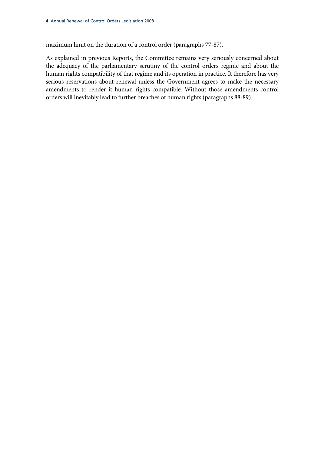maximum limit on the duration of a control order (paragraphs 77-87).

As explained in previous Reports, the Committee remains very seriously concerned about the adequacy of the parliamentary scrutiny of the control orders regime and about the human rights compatibility of that regime and its operation in practice. It therefore has very serious reservations about renewal unless the Government agrees to make the necessary amendments to render it human rights compatible. Without those amendments control orders will inevitably lead to further breaches of human rights (paragraphs 88-89).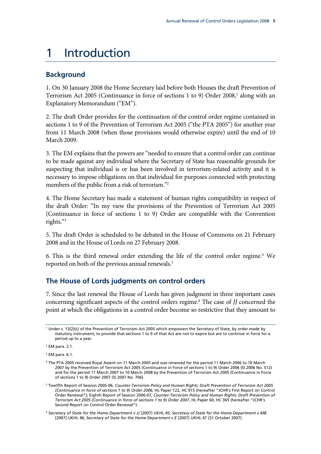### 1 Introduction

#### **Background**

1. On 30 January 2008 the Home Secretary laid before both Houses the draft Prevention of Terrorism Act 2005 (Continuance in force of sections 1 to 9) Order 2008,<sup>1</sup> along with an Explanatory Memorandum ("EM").

2. The draft Order provides for the continuation of the control order regime contained in sections 1 to 9 of the Prevention of Terrorism Act 2005 ("the PTA 2005") for another year from 11 March 2008 (when those provisions would otherwise expire) until the end of 10 March 2009.

3. The EM explains that the powers are "needed to ensure that a control order can continue to be made against any individual where the Secretary of State has reasonable grounds for suspecting that individual is or has been involved in terrorism-related activity and it is necessary to impose obligations on that individual for purposes connected with protecting members of the public from a risk of terrorism."<sup>2</sup>

4. The Home Secretary has made a statement of human rights compatibility in respect of the draft Order: "In my view the provisions of the Prevention of Terrorism Act 2005 (Continuance in force of sections 1 to 9) Order are compatible with the Convention rights."3

5. The draft Order is scheduled to be debated in the House of Commons on 21 February 2008 and in the House of Lords on 27 February 2008.

6. This is the third renewal order extending the life of the control order regime.<sup>4</sup> We reported on both of the previous annual renewals.<sup>5</sup>

### **The House of Lords judgments on control orders**

7. Since the last renewal the House of Lords has given judgment in three important cases concerning significant aspects of the control orders regime.<sup>6</sup> The case of *JJ* concerned the point at which the obligations in a control order become so restrictive that they amount to

<sup>1</sup> Under s. 13(2)(c) of the Prevention of Terrorism Act 2005 which empowers the Secretary of State, by order made by statutory instrument, to provide that sections 1 to 9 of that Act are not to expire but are to continue in force for a period up to a year.

<sup>2</sup> EM para. 2.1.

<sup>3</sup> EM para. 6.1.

<sup>4</sup> The PTA 2005 received Royal Assent on 11 March 2005 and was renewed for the period 11 March 2006 to 10 March 2007 by the Prevention of Terrorism Act 2005 (Continuance in Force of sections 1 to 9) Order 2006 (SI 2006 No. 512) and for the period 11 March 2007 to 10 March 2008 by the Prevention of Terrorism Act 2005 (Continuance in Force of sections 1 to 9) Order 2007 (SI 2007 No. 706).

<sup>5</sup> Twelfth Report of Session 2005-06, *Counter-Terrorism Policy and Human Rights: Draft Prevention of Terrorism Act 2005 (Continuance in force of sections 1 to 9) Order 2006*, HL Paper 122, HC 915 (hereafter "JCHR's First Report on Control Order Renewal"); Eighth Report of Session 2006-07, *Counter-Terrorism Policy and Human Rights: Draft Prevention of Terrorism Act 2005 (Continuance in force of sections 1 to 9) Order 2007*, HL Paper 60, HC 365 (hereafter "JCHR's Second Report on Control Order Renewal").

<sup>6</sup> *Secretary of State for the Home Department v JJ* [2007] UKHL 45; *Secretary of State for the Home Department v MB* [2007] UKHL 46; *Secretary of State for the Home Department v E* [2007] UKHL 47 (31 October 2007).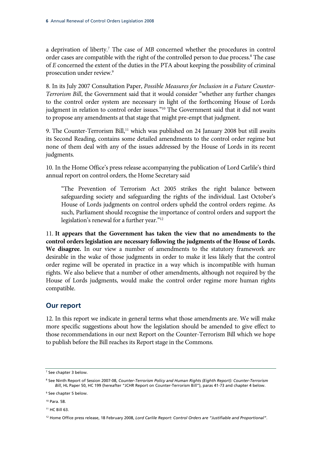a deprivation of liberty.<sup>7</sup> The case of MB concerned whether the procedures in control order cases are compatible with the right of the controlled person to due process.<sup>8</sup> The case of *E* concerned the extent of the duties in the PTA about keeping the possibility of criminal prosecution under review.9

8. In its July 2007 Consultation Paper, *Possible Measures for Inclusion in a Future Counter-Terrorism Bill*, the Government said that it would consider "whether any further changes to the control order system are necessary in light of the forthcoming House of Lords judgment in relation to control order issues."<sup>10</sup> The Government said that it did not want to propose any amendments at that stage that might pre-empt that judgment.

9. The Counter-Terrorism Bill,<sup>11</sup> which was published on 24 January 2008 but still awaits its Second Reading, contains some detailed amendments to the control order regime but none of them deal with any of the issues addressed by the House of Lords in its recent judgments.

10. In the Home Office's press release accompanying the publication of Lord Carlile's third annual report on control orders, the Home Secretary said

"The Prevention of Terrorism Act 2005 strikes the right balance between safeguarding society and safeguarding the rights of the individual. Last October's House of Lords judgments on control orders upheld the control orders regime. As such, Parliament should recognise the importance of control orders and support the legislation's renewal for a further year."12

11. **It appears that the Government has taken the view that no amendments to the control orders legislation are necessary following the judgments of the House of Lords. We disagree.** In our view a number of amendments to the statutory framework are desirable in the wake of those judgments in order to make it less likely that the control order regime will be operated in practice in a way which is incompatible with human rights. We also believe that a number of other amendments, although not required by the House of Lords judgments, would make the control order regime more human rights compatible.

#### **Our report**

12. In this report we indicate in general terms what those amendments are. We will make more specific suggestions about how the legislation should be amended to give effect to those recommendations in our next Report on the Counter-Terrorism Bill which we hope to publish before the Bill reaches its Report stage in the Commons.

10 Para. 58.

<sup>7</sup> See chapter 3 below.

<sup>8</sup> See Ninth Report of Session 2007-08, *Counter-Terrorism Policy and Human Rights (Eighth Report): Counter-Terrorism Bill*, HL Paper 50, HC 199 (hereafter "JCHR Report on Counter-Terrorism Bill"), paras 41-73 and chapter 4 below.

<sup>9</sup> See chapter 5 below.

<sup>11</sup> HC Bill 63.

<sup>12</sup> Home Office press release, 18 February 2008, *Lord Carlile Report: Control Orders are "Justifiable and Proportional"*.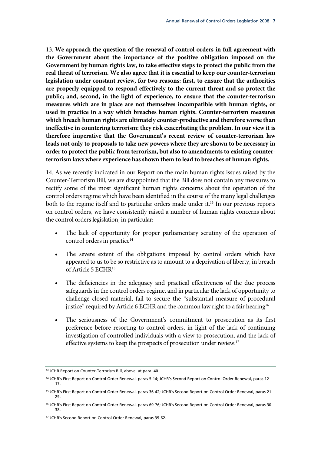13. **We approach the question of the renewal of control orders in full agreement with the Government about the importance of the positive obligation imposed on the Government by human rights law, to take effective steps to protect the public from the real threat of terrorism. We also agree that it is essential to keep our counter-terrorism legislation under constant review, for two reasons: first, to ensure that the authorities are properly equipped to respond effectively to the current threat and so protect the public; and, second, in the light of experience, to ensure that the counter-terrorism measures which are in place are not themselves incompatible with human rights, or used in practice in a way which breaches human rights. Counter-terrorism measures which breach human rights are ultimately counter-productive and therefore worse than ineffective in countering terrorism: they risk exacerbating the problem. In our view it is therefore imperative that the Government's recent review of counter-terrorism law leads not only to proposals to take new powers where they are shown to be necessary in order to protect the public from terrorism, but also to amendments to existing counterterrorism laws where experience has shown them to lead to breaches of human rights.**

14. As we recently indicated in our Report on the main human rights issues raised by the Counter-Terrorism Bill, we are disappointed that the Bill does not contain any measures to rectify some of the most significant human rights concerns about the operation of the control orders regime which have been identified in the course of the many legal challenges both to the regime itself and to particular orders made under it.<sup>13</sup> In our previous reports on control orders, we have consistently raised a number of human rights concerns about the control orders legislation, in particular:

- The lack of opportunity for proper parliamentary scrutiny of the operation of control orders in practice<sup>14</sup>
- The severe extent of the obligations imposed by control orders which have appeared to us to be so restrictive as to amount to a deprivation of liberty, in breach of Article 5 ECHR15
- The deficiencies in the adequacy and practical effectiveness of the due process safeguards in the control orders regime, and in particular the lack of opportunity to challenge closed material, fail to secure the "substantial measure of procedural justice" required by Article 6 ECHR and the common law right to a fair hearing<sup>16</sup>
- The seriousness of the Government's commitment to prosecution as its first preference before resorting to control orders, in light of the lack of continuing investigation of controlled individuals with a view to prosecution, and the lack of effective systems to keep the prospects of prosecution under review.<sup>17</sup>

<sup>&</sup>lt;sup>13</sup> JCHR Report on Counter-Terrorism Bill, above, at para. 40.

<sup>&</sup>lt;sup>14</sup> JCHR's First Report on Control Order Renewal, paras 5-14; JCHR's Second Report on Control Order Renewal, paras 12-17.

<sup>&</sup>lt;sup>15</sup> JCHR's First Report on Control Order Renewal, paras 36-42; JCHR's Second Report on Control Order Renewal, paras 21-29.

<sup>&</sup>lt;sup>16</sup> JCHR's First Report on Control Order Renewal, paras 69-76; JCHR's Second Report on Control Order Renewal, paras 30-38.

<sup>17</sup> JCHR's Second Report on Control Order Renewal, paras 39-62.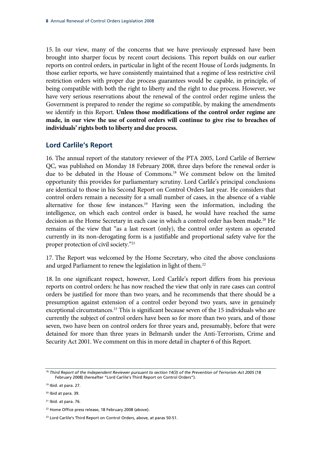15. In our view, many of the concerns that we have previously expressed have been brought into sharper focus by recent court decisions. This report builds on our earlier reports on control orders, in particular in light of the recent House of Lords judgments. In those earlier reports, we have consistently maintained that a regime of less restrictive civil restriction orders with proper due process guarantees would be capable, in principle, of being compatible with both the right to liberty and the right to due process. However, we have very serious reservations about the renewal of the control order regime unless the Government is prepared to render the regime so compatible, by making the amendments we identify in this Report. **Unless those modifications of the control order regime are made, in our view the use of control orders will continue to give rise to breaches of individuals' rights both to liberty and due process.**

#### **Lord Carlile's Report**

16. The annual report of the statutory reviewer of the PTA 2005, Lord Carlile of Berriew QC, was published on Monday 18 February 2008, three days before the renewal order is due to be debated in the House of Commons.18 We comment below on the limited opportunity this provides for parliamentary scrutiny. Lord Carlile's principal conclusions are identical to those in his Second Report on Control Orders last year. He considers that control orders remain a necessity for a small number of cases, in the absence of a viable alternative for those few instances.<sup>19</sup> Having seen the information, including the intelligence, on which each control order is based, he would have reached the same decision as the Home Secretary in each case in which a control order has been made.<sup>20</sup> He remains of the view that "as a last resort (only), the control order system as operated currently in its non-derogating form is a justifiable and proportional safety valve for the proper protection of civil society."21

17. The Report was welcomed by the Home Secretary, who cited the above conclusions and urged Parliament to renew the legislation in light of them.<sup>22</sup>

18. In one significant respect, however, Lord Carlile's report differs from his previous reports on control orders: he has now reached the view that only in rare cases can control orders be justified for more than two years, and he recommends that there should be a presumption against extension of a control order beyond two years, save in genuinely exceptional circumstances.<sup>23</sup> This is significant because seven of the 15 individuals who are currently the subject of control orders have been so for more than two years, and of those seven, two have been on control orders for three years and, presumably, before that were detained for more than three years in Belmarsh under the Anti-Terrorism, Crime and Security Act 2001. We comment on this in more detail in chapter 6 of this Report.

<sup>18</sup> *Third Report of the Independent Reviewer pursuant to section 14(3) of the Prevention of Terrorism Act 2005* (18 February 2008) (hereafter "Lord Carlile's Third Report on Control Orders").

<sup>19</sup> Ibid. at para. 27.

<sup>20</sup> Ibid at para. 39.

 $21$  Ibid. at para. 76.

<sup>&</sup>lt;sup>22</sup> Home Office press release, 18 February 2008 (above).

<sup>&</sup>lt;sup>23</sup> Lord Carlile's Third Report on Control Orders, above, at paras 50-51.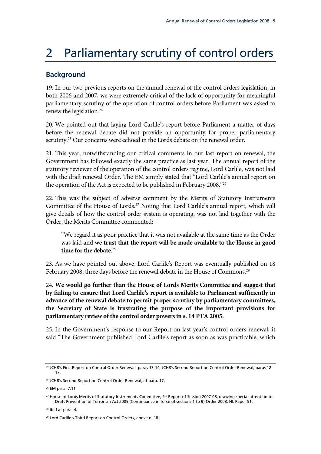# 2 Parliamentary scrutiny of control orders

### **Background**

19. In our two previous reports on the annual renewal of the control orders legislation, in both 2006 and 2007, we were extremely critical of the lack of opportunity for meaningful parliamentary scrutiny of the operation of control orders before Parliament was asked to renew the legislation.<sup>24</sup>

20. We pointed out that laying Lord Carlile's report before Parliament a matter of days before the renewal debate did not provide an opportunity for proper parliamentary scrutiny.<sup>25</sup> Our concerns were echoed in the Lords debate on the renewal order.

21. This year, notwithstanding our critical comments in our last report on renewal, the Government has followed exactly the same practice as last year. The annual report of the statutory reviewer of the operation of the control orders regime, Lord Carlile, was not laid with the draft renewal Order. The EM simply stated that "Lord Carlile's annual report on the operation of the Act is expected to be published in February 2008."26

22. This was the subject of adverse comment by the Merits of Statutory Instruments Committee of the House of Lords.<sup>27</sup> Noting that Lord Carlile's annual report, which will give details of how the control order system is operating, was not laid together with the Order, the Merits Committee commented:

"We regard it as poor practice that it was not available at the same time as the Order was laid and **we trust that the report will be made available to the House in good time for the debate**."28

23. As we have pointed out above, Lord Carlile's Report was eventually published on 18 February 2008, three days before the renewal debate in the House of Commons.<sup>29</sup>

24. **We would go further than the House of Lords Merits Committee and suggest that by failing to ensure that Lord Carlile's report is available to Parliament sufficiently in advance of the renewal debate to permit proper scrutiny by parliamentary committees, the Secretary of State is frustrating the purpose of the important provisions for parliamentary review of the control order powers in s. 14 PTA 2005.**

25. In the Government's response to our Report on last year's control orders renewal, it said "The Government published Lord Carlile's report as soon as was practicable, which

<sup>&</sup>lt;sup>24</sup> JCHR's First Report on Control Order Renewal, paras 13-14; JCHR's Second Report on Control Order Renewal, paras 12-17.

<sup>&</sup>lt;sup>25</sup> JCHR's Second Report on Control Order Renewal, at para. 17.

<sup>26</sup> EM para. 7.11.

<sup>&</sup>lt;sup>27</sup> House of Lords Merits of Statutory Instruments Committee, 9<sup>th</sup> Report of Session 2007-08, drawing special attention to: Draft Prevention of Terrorism Act 2005 (Continuance in force of sections 1 to 9) Order 2008, HL Paper 51.

<sup>&</sup>lt;sup>28</sup> Ibid at para. 4.

<sup>29</sup> Lord Carlile's Third Report on Control Orders, above n. 18.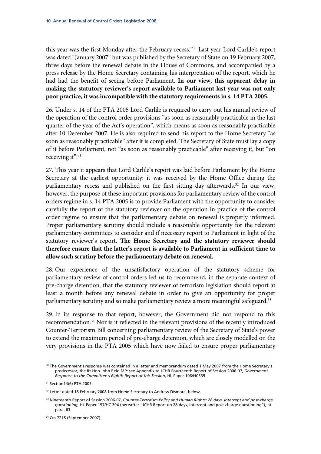this year was the first Monday after the February recess."30 Last year Lord Carlile's report was dated "January 2007" but was published by the Secretary of State on 19 February 2007, three days before the renewal debate in the House of Commons, and accompanied by a press release by the Home Secretary containing his interpretation of the report, which he had had the benefit of seeing before Parliament. **In our view, this apparent delay in making the statutory reviewer's report available to Parliament last year was not only poor practice, it was incompatible with the statutory requirements in s. 14 PTA 2005.**

26. Under s. 14 of the PTA 2005 Lord Carlile is required to carry out his annual review of the operation of the control order provisions "as soon as reasonably practicable in the last quarter of the year of the Act's operation", which means as soon as reasonably practicable after 10 December 2007. He is also required to send his report to the Home Secretary "as soon as reasonably practicable" after it is completed. The Secretary of State must lay a copy of it before Parliament, not "as soon as reasonably practicable" after receiving it, but "on receiving it".<sup>31</sup>

27. This year it appears that Lord Carlile's report was laid before Parliament by the Home Secretary at the earliest opportunity: it was received by the Home Office during the parliamentary recess and published on the first sitting day afterwards.<sup>32</sup> In our view, however, the purpose of these important provisions for parliamentary review of the control orders regime in s. 14 PTA 2005 is to provide Parliament with the opportunity to consider carefully the report of the statutory reviewer on the operation in practice of the control order regime to ensure that the parliamentary debate on renewal is properly informed. Proper parliamentary scrutiny should include a reasonable opportunity for the relevant parliamentary committees to consider and if necessary report to Parliament in light of the statutory reviewer's report. **The Home Secretary and the statutory reviewer should therefore ensure that the latter's report is available to Parliament in sufficient time to allow such scrutiny before the parliamentary debate on renewal.**

28. Our experience of the unsatisfactory operation of the statutory scheme for parliamentary review of control orders led us to recommend, in the separate context of pre-charge detention, that the statutory reviewer of terrorism legislation should report at least a month before any renewal debate in order to give an opportunity for proper parliamentary scrutiny and so make parliamentary review a more meaningful safeguard.<sup>33</sup>

29. In its response to that report, however, the Government did not respond to this recommendation.<sup>34</sup> Nor is it reflected in the relevant provisions of the recently introduced Counter-Terrorism Bill concerning parliamentary review of the Secretary of State's power to extend the maximum period of pre-charge detention, which are closely modelled on the very provisions in the PTA 2005 which have now failed to ensure proper parliamentary

<sup>&</sup>lt;sup>30</sup> The Government's response was contained in a letter and memorandum dated 1 May 2007 from the Home Secretary's predecessor, the Rt Hon John Reid MP: see Appendix to JCHR Fourteenth Report of Session 2006-07, *Government Response to the Committee's Eighth Report of this Session*, HL Paper 106/HC539.

<sup>31</sup> Section14(6) PTA 2005.

<sup>&</sup>lt;sup>32</sup> Letter dated 18 February 2008 from Home Secretary to Andrew Dismore, below.

<sup>33</sup> Nineteenth Report of Session 2006-07, *Counter-Terrorism Policy and Human Rights: 28 days, intercept and post-charge questioning*, HL Paper 157/HC 394 (hereafter "JCHR Report on 28 days, intercept and post-charge questioning"), at para. 63.

<sup>34</sup> Cm 7215 (September 2007).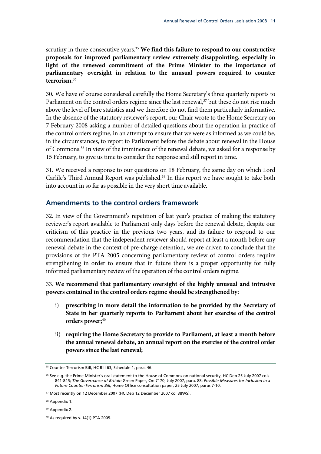scrutiny in three consecutive years.<sup>35</sup> We find this failure to respond to our constructive **proposals for improved parliamentary review extremely disappointing, especially in light of the renewed commitment of the Prime Minister to the importance of parliamentary oversight in relation to the unusual powers required to counter terrorism.**<sup>36</sup>

30. We have of course considered carefully the Home Secretary's three quarterly reports to Parliament on the control orders regime since the last renewal,<sup>37</sup> but these do not rise much above the level of bare statistics and we therefore do not find them particularly informative. In the absence of the statutory reviewer's report, our Chair wrote to the Home Secretary on 7 February 2008 asking a number of detailed questions about the operation in practice of the control orders regime, in an attempt to ensure that we were as informed as we could be, in the circumstances, to report to Parliament before the debate about renewal in the House of Commons.38 In view of the imminence of the renewal debate, we asked for a response by 15 February, to give us time to consider the response and still report in time.

31. We received a response to our questions on 18 February, the same day on which Lord Carlile's Third Annual Report was published.<sup>39</sup> In this report we have sought to take both into account in so far as possible in the very short time available.

#### **Amendments to the control orders framework**

32. In view of the Government's repetition of last year's practice of making the statutory reviewer's report available to Parliament only days before the renewal debate, despite our criticism of this practice in the previous two years, and its failure to respond to our recommendation that the independent reviewer should report at least a month before any renewal debate in the context of pre-charge detention, we are driven to conclude that the provisions of the PTA 2005 concerning parliamentary review of control orders require strengthening in order to ensure that in future there is a proper opportunity for fully informed parliamentary review of the operation of the control orders regime.

33. **We recommend that parliamentary oversight of the highly unusual and intrusive powers contained in the control orders regime should be strengthened by:**

- i) **prescribing in more detail the information to be provided by the Secretary of State in her quarterly reports to Parliament about her exercise of the control orders power;**<sup>40</sup>
- ii) **requiring the Home Secretary to provide to Parliament, at least a month before the annual renewal debate, an annual report on the exercise of the control order powers since the last renewal;**

<sup>&</sup>lt;sup>35</sup> Counter Terrorism Bill, HC Bill 63, Schedule 1, para. 46.

<sup>36</sup> See e.g. the Prime Minister's oral statement to the House of Commons on national security, HC Deb 25 July 2007 cols 841-845; *The Governance of Britain* Green Paper, Cm 7170, July 2007, para. 88; *Possible Measures for Inclusion in a Future Counter-Terrorism Bill*, Home Office consultation paper, 25 July 2007, paras 7-10.

<sup>&</sup>lt;sup>37</sup> Most recently on 12 December 2007 (HC Deb 12 December 2007 col 38WS).

<sup>&</sup>lt;sup>38</sup> Appendix 1.

<sup>&</sup>lt;sup>39</sup> Appendix 2.

<sup>40</sup> As required by s. 14(1) PTA 2005.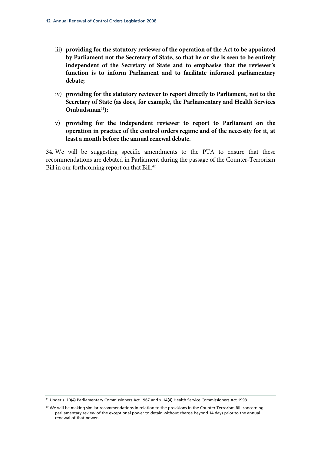- iii) **providing for the statutory reviewer of the operation of the Act to be appointed by Parliament not the Secretary of State, so that he or she is seen to be entirely independent of the Secretary of State and to emphasise that the reviewer's function is to inform Parliament and to facilitate informed parliamentary debate;**
- iv) **providing for the statutory reviewer to report directly to Parliament, not to the Secretary of State (as does, for example, the Parliamentary and Health Services Ombudsman**<sup>41</sup>**);**
- v) **providing for the independent reviewer to report to Parliament on the operation in practice of the control orders regime and of the necessity for it, at least a month before the annual renewal debate.**

34. We will be suggesting specific amendments to the PTA to ensure that these recommendations are debated in Parliament during the passage of the Counter-Terrorism Bill in our forthcoming report on that Bill.<sup>42</sup>

<sup>41</sup> Under s. 10(4) Parliamentary Commissioners Act 1967 and s. 14(4) Health Service Commissioners Act 1993.

<sup>&</sup>lt;sup>42</sup> We will be making similar recommendations in relation to the provisions in the Counter Terrorism Bill concerning parliamentary review of the exceptional power to detain without charge beyond 14 days prior to the annual renewal of that power.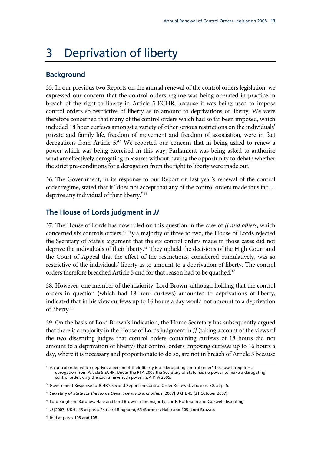## 3 Deprivation of liberty

#### **Background**

35. In our previous two Reports on the annual renewal of the control orders legislation, we expressed our concern that the control orders regime was being operated in practice in breach of the right to liberty in Article 5 ECHR, because it was being used to impose control orders so restrictive of liberty as to amount to deprivations of liberty. We were therefore concerned that many of the control orders which had so far been imposed, which included 18 hour curfews amongst a variety of other serious restrictions on the individuals' private and family life, freedom of movement and freedom of association, were in fact derogations from Article 5.43 We reported our concern that in being asked to renew a power which was being exercised in this way, Parliament was being asked to authorise what are effectively derogating measures without having the opportunity to debate whether the strict pre-conditions for a derogation from the right to liberty were made out.

36. The Government, in its response to our Report on last year's renewal of the control order regime, stated that it "does not accept that any of the control orders made thus far … deprive any individual of their liberty."<sup>44</sup>

#### **The House of Lords judgment in** *JJ*

37. The House of Lords has now ruled on this question in the case of *JJ and others*, which concerned six controls orders.45 By a majority of three to two, the House of Lords rejected the Secretary of State's argument that the six control orders made in those cases did not deprive the individuals of their liberty.<sup>46</sup> They upheld the decisions of the High Court and the Court of Appeal that the effect of the restrictions, considered cumulatively, was so restrictive of the individuals' liberty as to amount to a deprivation of liberty. The control orders therefore breached Article 5 and for that reason had to be quashed.<sup>47</sup>

38. However, one member of the majority, Lord Brown, although holding that the control orders in question (which had 18 hour curfews) amounted to deprivations of liberty, indicated that in his view curfews up to 16 hours a day would not amount to a deprivation of liberty.<sup>48</sup>

39. On the basis of Lord Brown's indication, the Home Secretary has subsequently argued that there is a majority in the House of Lords judgment in *JJ* (taking account of the views of the two dissenting judges that control orders containing curfews of 18 hours did not amount to a deprivation of liberty) that control orders imposing curfews up to 16 hours a day, where it is necessary and proportionate to do so, are not in breach of Article 5 because

<sup>43</sup> A control order which deprives a person of their liberty is a "derogating control order" because it requires a derogation from Article 5 ECHR. Under the PTA 2005 the Secretary of State has no power to make a derogating control order, only the courts have such power: s. 4 PTA 2005.

<sup>44</sup> Government Response to JCHR's Second Report on Control Order Renewal, above n. 30, at p. 5.

<sup>45</sup> *Secretary of State for the Home Department v JJ and others* [2007] UKHL 45 (31 October 2007).

<sup>46</sup> Lord Bingham, Baroness Hale and Lord Brown in the majority, Lords Hoffmann and Carswell dissenting.

<sup>47</sup> *JJ* [2007] UKHL 45 at paras 24 (Lord Bingham), 63 (Baroness Hale) and 105 (Lord Brown).

<sup>48</sup> Ibid at paras 105 and 108.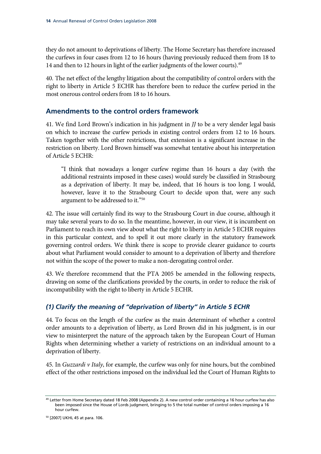they do not amount to deprivations of liberty. The Home Secretary has therefore increased the curfews in four cases from 12 to 16 hours (having previously reduced them from 18 to 14 and then to 12 hours in light of the earlier judgments of the lower courts).<sup>49</sup>

40. The net effect of the lengthy litigation about the compatibility of control orders with the right to liberty in Article 5 ECHR has therefore been to reduce the curfew period in the most onerous control orders from 18 to 16 hours.

### **Amendments to the control orders framework**

41. We find Lord Brown's indication in his judgment in *JJ* to be a very slender legal basis on which to increase the curfew periods in existing control orders from 12 to 16 hours. Taken together with the other restrictions, that extension is a significant increase in the restriction on liberty. Lord Brown himself was somewhat tentative about his interpretation of Article 5 ECHR:

"I think that nowadays a longer curfew regime than 16 hours a day (with the additional restraints imposed in these cases) would surely be classified in Strasbourg as a deprivation of liberty. It may be, indeed, that 16 hours is too long. I would, however, leave it to the Strasbourg Court to decide upon that, were any such argument to be addressed to it."50

42. The issue will certainly find its way to the Strasbourg Court in due course, although it may take several years to do so. In the meantime, however, in our view, it is incumbent on Parliament to reach its own view about what the right to liberty in Article 5 ECHR requires in this particular context, and to spell it out more clearly in the statutory framework governing control orders. We think there is scope to provide clearer guidance to courts about what Parliament would consider to amount to a deprivation of liberty and therefore not within the scope of the power to make a non-derogating control order.

43. We therefore recommend that the PTA 2005 be amended in the following respects, drawing on some of the clarifications provided by the courts, in order to reduce the risk of incompatibility with the right to liberty in Article 5 ECHR.

#### *(1) Clarify the meaning of "deprivation of liberty" in Article 5 ECHR*

44. To focus on the length of the curfew as the main determinant of whether a control order amounts to a deprivation of liberty, as Lord Brown did in his judgment, is in our view to misinterpret the nature of the approach taken by the European Court of Human Rights when determining whether a variety of restrictions on an individual amount to a deprivation of liberty.

45. In *Guzzardi v Italy*, for example, the curfew was only for nine hours, but the combined effect of the other restrictions imposed on the individual led the Court of Human Rights to

<sup>49</sup> Letter from Home Secretary dated 18 Feb 2008 (Appendix 2). A new control order containing a 16 hour curfew has also been imposed since the House of Lords judgment, bringing to 5 the total number of control orders imposing a 16 hour curfew.

<sup>50 [2007]</sup> UKHL 45 at para. 106.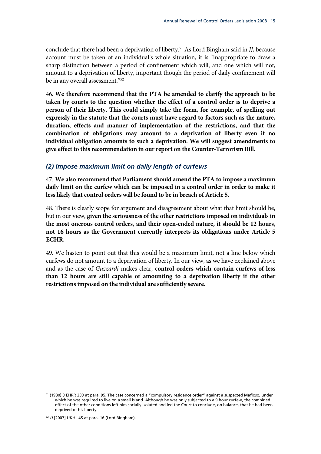conclude that there had been a deprivation of liberty.51 As Lord Bingham said in *JJ*, because account must be taken of an individual's whole situation, it is "inappropriate to draw a sharp distinction between a period of confinement which will, and one which will not, amount to a deprivation of liberty, important though the period of daily confinement will be in any overall assessment."52

46. **We therefore recommend that the PTA be amended to clarify the approach to be taken by courts to the question whether the effect of a control order is to deprive a person of their liberty. This could simply take the form, for example, of spelling out expressly in the statute that the courts must have regard to factors such as the nature, duration, effects and manner of implementation of the restrictions, and that the combination of obligations may amount to a deprivation of liberty even if no individual obligation amounts to such a deprivation. We will suggest amendments to give effect to this recommendation in our report on the Counter-Terrorism Bill.**

#### *(2) Impose maximum limit on daily length of curfews*

47. **We also recommend that Parliament should amend the PTA to impose a maximum daily limit on the curfew which can be imposed in a control order in order to make it less likely that control orders will be found to be in breach of Article 5.**

48. There is clearly scope for argument and disagreement about what that limit should be, but in our view, **given the seriousness of the other restrictions imposed on individuals in the most onerous control orders, and their open-ended nature, it should be 12 hours, not 16 hours as the Government currently interprets its obligations under Article 5 ECHR.**

49. We hasten to point out that this would be a maximum limit, not a line below which curfews do not amount to a deprivation of liberty. In our view, as we have explained above and as the case of *Guzzardi* makes clear, **control orders which contain curfews of less than 12 hours are still capable of amounting to a deprivation liberty if the other restrictions imposed on the individual are sufficiently severe.**

<sup>51 (1980) 3</sup> EHRR 333 at para. 95. The case concerned a "compulsory residence order" against a suspected Mafioso, under which he was required to live on a small island. Although he was only subjected to a 9 hour curfew, the combined effect of the other conditions left him socially isolated and led the Court to conclude, on balance, that he had been deprived of his liberty.

<sup>52</sup> *JJ* [2007] UKHL 45 at para. 16 (Lord Bingham).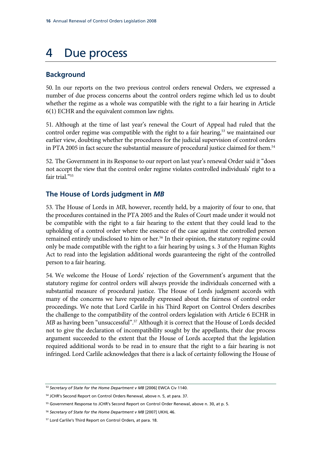# 4 Due process

### **Background**

50. In our reports on the two previous control orders renewal Orders, we expressed a number of due process concerns about the control orders regime which led us to doubt whether the regime as a whole was compatible with the right to a fair hearing in Article 6(1) ECHR and the equivalent common law rights.

51. Although at the time of last year's renewal the Court of Appeal had ruled that the control order regime was compatible with the right to a fair hearing,<sup>53</sup> we maintained our earlier view, doubting whether the procedures for the judicial supervision of control orders in PTA 2005 in fact secure the substantial measure of procedural justice claimed for them.<sup>54</sup>

52. The Government in its Response to our report on last year's renewal Order said it "does not accept the view that the control order regime violates controlled individuals' right to a fair trial."<sup>55</sup>

### **The House of Lords judgment in** *MB*

53. The House of Lords in *MB*, however, recently held, by a majority of four to one, that the procedures contained in the PTA 2005 and the Rules of Court made under it would not be compatible with the right to a fair hearing to the extent that they could lead to the upholding of a control order where the essence of the case against the controlled person remained entirely undisclosed to him or her.<sup>56</sup> In their opinion, the statutory regime could only be made compatible with the right to a fair hearing by using s. 3 of the Human Rights Act to read into the legislation additional words guaranteeing the right of the controlled person to a fair hearing.

54. We welcome the House of Lords' rejection of the Government's argument that the statutory regime for control orders will always provide the individuals concerned with a substantial measure of procedural justice. The House of Lords judgment accords with many of the concerns we have repeatedly expressed about the fairness of control order proceedings. We note that Lord Carlile in his Third Report on Control Orders describes the challenge to the compatibility of the control orders legislation with Article 6 ECHR in *MB* as having been "unsuccessful".<sup>57</sup> Although it is correct that the House of Lords decided not to give the declaration of incompatibility sought by the appellants, their due process argument succeeded to the extent that the House of Lords accepted that the legislation required additional words to be read in to ensure that the right to a fair hearing is not infringed. Lord Carlile acknowledges that there is a lack of certainty following the House of

<sup>53</sup> *Secretary of State for the Home Department v MB* [2006] EWCA Civ 1140.

<sup>54</sup> JCHR's Second Report on Control Orders Renewal, above n. 5, at para. 37.

<sup>55</sup> Government Response to JCHR's Second Report on Control Order Renewal, above n. 30, at p. 5.

<sup>56</sup> *Secretary of State for the Home Department v MB* [2007] UKHL 46.

<sup>57</sup> Lord Carlile's Third Report on Control Orders, at para. 18.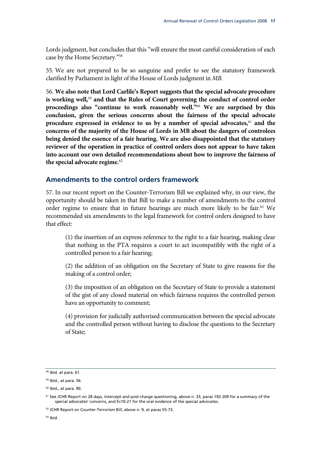Lords judgment, but concludes that this "will ensure the most careful consideration of each case by the Home Secretary."58

55. We are not prepared to be so sanguine and prefer to see the statutory framework clarified by Parliament in light of the House of Lords judgment in *MB*.

56. **We also note that Lord Carlile's Report suggests that the special advocate procedure is working well,**<sup>59</sup> **and that the Rules of Court governing the conduct of control order proceedings also "continue to work reasonably well."**<sup>60</sup> **We are surprised by this conclusion, given the serious concerns about the fairness of the special advocate procedure expressed in evidence to us by a number of special advocates,**<sup>61</sup> **and the concerns of the majority of the House of Lords in MB about the dangers of controlees being denied the essence of a fair hearing. We are also disappointed that the statutory reviewer of the operation in practice of control orders does not appear to have taken into account our own detailed recommendations about how to improve the fairness of the special advocate regime.**<sup>62</sup>

#### **Amendments to the control orders framework**

57. In our recent report on the Counter-Terrorism Bill we explained why, in our view, the opportunity should be taken in that Bill to make a number of amendments to the control order regime to ensure that in future hearings are much more likely to be fair.<sup>63</sup> We recommended six amendments to the legal framework for control orders designed to have that effect:

(1) the insertion of an express reference to the right to a fair hearing, making clear that nothing in the PTA requires a court to act incompatibly with the right of a controlled person to a fair hearing;

(2) the addition of an obligation on the Secretary of State to give reasons for the making of a control order;

(3) the imposition of an obligation on the Secretary of State to provide a statement of the gist of any closed material on which fairness requires the controlled person have an opportunity to comment;

(4) provision for judicially authorised communication between the special advocate and the controlled person without having to disclose the questions to the Secretary of State;

<sup>58</sup> Ibid. at para. 61.

<sup>59</sup> Ibid., at para. 56.

 $60$  Ibid., at para. 90.

<sup>&</sup>lt;sup>61</sup> See JCHR Report on 28 days, intercept and post-charge questioning, above n. 33, paras 192-209 for a summary of the special advocates' concerns, and Ev10-21 for the oral evidence of the special advocates.

<sup>&</sup>lt;sup>62</sup> JCHR Report on Counter-Terrorism Bill, above n. 9, at paras 55-73.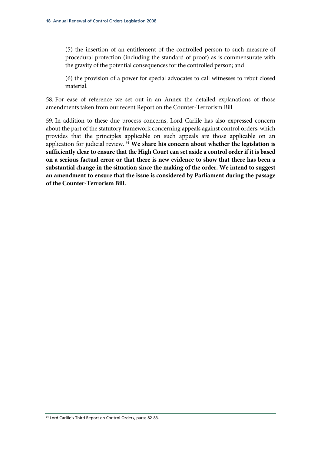(5) the insertion of an entitlement of the controlled person to such measure of procedural protection (including the standard of proof) as is commensurate with the gravity of the potential consequences for the controlled person; and

(6) the provision of a power for special advocates to call witnesses to rebut closed material.

58. For ease of reference we set out in an Annex the detailed explanations of those amendments taken from our recent Report on the Counter-Terrorism Bill.

59. In addition to these due process concerns, Lord Carlile has also expressed concern about the part of the statutory framework concerning appeals against control orders, which provides that the principles applicable on such appeals are those applicable on an application for judicial review. 64 **We share his concern about whether the legislation is sufficiently clear to ensure that the High Court can set aside a control order if it is based on a serious factual error or that there is new evidence to show that there has been a substantial change in the situation since the making of the order. We intend to suggest an amendment to ensure that the issue is considered by Parliament during the passage of the Counter-Terrorism Bill.**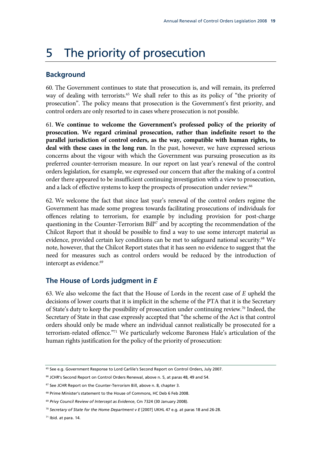## 5 The priority of prosecution

#### **Background**

60. The Government continues to state that prosecution is, and will remain, its preferred way of dealing with terrorists.<sup>65</sup> We shall refer to this as its policy of "the priority of prosecution". The policy means that prosecution is the Government's first priority, and control orders are only resorted to in cases where prosecution is not possible.

61. **We continue to welcome the Government's professed policy of the priority of prosecution. We regard criminal prosecution, rather than indefinite resort to the parallel jurisdiction of control orders, as the way, compatible with human rights, to deal with these cases in the long run.** In the past, however, we have expressed serious concerns about the vigour with which the Government was pursuing prosecution as its preferred counter-terrorism measure. In our report on last year's renewal of the control orders legislation, for example, we expressed our concern that after the making of a control order there appeared to be insufficient continuing investigation with a view to prosecution, and a lack of effective systems to keep the prospects of prosecution under review.<sup>66</sup>

62. We welcome the fact that since last year's renewal of the control orders regime the Government has made some progress towards facilitating prosecutions of individuals for offences relating to terrorism, for example by including provision for post-charge questioning in the Counter-Terrorism Bill<sup>67</sup> and by accepting the recommendation of the Chilcot Report that it should be possible to find a way to use some intercept material as evidence, provided certain key conditions can be met to safeguard national security.<sup>68</sup> We note, however, that the Chilcot Report states that it has seen no evidence to suggest that the need for measures such as control orders would be reduced by the introduction of intercept as evidence.<sup>69</sup>

#### **The House of Lords judgment in** *E*

63. We also welcome the fact that the House of Lords in the recent case of *E* upheld the decisions of lower courts that it is implicit in the scheme of the PTA that it is the Secretary of State's duty to keep the possibility of prosecution under continuing review.70 Indeed, the Secretary of State in that case expressly accepted that "the scheme of the Act is that control orders should only be made where an individual cannot realistically be prosecuted for a terrorism-related offence."71 We particularly welcome Baroness Hale's articulation of the human rights justification for the policy of the priority of prosecution:

<sup>65</sup> See e.g. Government Response to Lord Carlile's Second Report on Control Orders, July 2007.

<sup>&</sup>lt;sup>66</sup> JCHR's Second Report on Control Orders Renewal, above n. 5, at paras 48, 49 and 54.

<sup>67</sup> See JCHR Report on the Counter-Terrorism Bill, above n. 8, chapter 3.

<sup>68</sup> Prime Minister's statement to the House of Commons, HC Deb 6 Feb 2008.

<sup>69</sup> *Privy Council Review of Intercept as Evidence*, Cm 7324 (30 January 2008).

<sup>70</sup> *Secretary of State for the Home Department v E* [2007] UKHL 47 e.g. at paras 18 and 26-28.

<sup>71</sup> Ibid. at para. 14.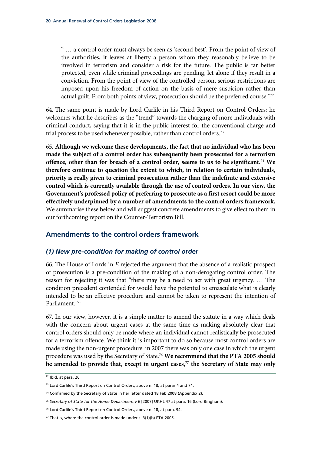" … a control order must always be seen as 'second best'. From the point of view of the authorities, it leaves at liberty a person whom they reasonably believe to be involved in terrorism and consider a risk for the future. The public is far better protected, even while criminal proceedings are pending, let alone if they result in a conviction. From the point of view of the controlled person, serious restrictions are imposed upon his freedom of action on the basis of mere suspicion rather than actual guilt. From both points of view, prosecution should be the preferred course."72

64. The same point is made by Lord Carlile in his Third Report on Control Orders: he welcomes what he describes as the "trend" towards the charging of more individuals with criminal conduct, saying that it is in the public interest for the conventional charge and trial process to be used whenever possible, rather than control orders.<sup>73</sup>

65. **Although we welcome these developments, the fact that no individual who has been made the subject of a control order has subsequently been prosecuted for a terrorism offence, other than for breach of a control order, seems to us to be significant.**<sup>74</sup> **We therefore continue to question the extent to which, in relation to certain individuals, priority is really given to criminal prosecution rather than the indefinite and extensive control which is currently available through the use of control orders. In our view, the Government's professed policy of preferring to prosecute as a first resort could be more effectively underpinned by a number of amendments to the control orders framework.** We summarise these below and will suggest concrete amendments to give effect to them in our forthcoming report on the Counter-Terrorism Bill.

#### **Amendments to the control orders framework**

#### *(1) New pre-condition for making of control order*

66. The House of Lords in *E* rejected the argument that the absence of a realistic prospect of prosecution is a pre-condition of the making of a non-derogating control order. The reason for rejecting it was that "there may be a need to act with great urgency. … The condition precedent contended for would have the potential to emasculate what is clearly intended to be an effective procedure and cannot be taken to represent the intention of Parliament."75

67. In our view, however, it is a simple matter to amend the statute in a way which deals with the concern about urgent cases at the same time as making absolutely clear that control orders should only be made where an individual cannot realistically be prosecuted for a terrorism offence. We think it is important to do so because most control orders are made using the non-urgent procedure: in 2007 there was only one case in which the urgent procedure was used by the Secretary of State.76 **We recommend that the PTA 2005 should be amended to provide that, except in urgent cases,**<sup>77</sup> **the Secretary of State may only** 

<sup>72</sup> Ibid. at para. 26.

<sup>73</sup> Lord Carlile's Third Report on Control Orders, above n. 18, at paras 4 and 74.

<sup>74</sup> Confirmed by the Secretary of State in her letter dated 18 Feb 2008 (Appendix 2).

<sup>75</sup> *Secretary of State for the Home Department v E* [2007] UKHL 47 at para. 16 (Lord Bingham).

<sup>&</sup>lt;sup>76</sup> Lord Carlile's Third Report on Control Orders, above n. 18, at para. 94.

 $77$  That is, where the control order is made under s. 3(1)(b) PTA 2005.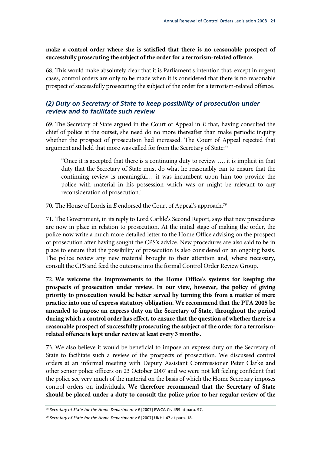**make a control order where she is satisfied that there is no reasonable prospect of successfully prosecuting the subject of the order for a terrorism-related offence.**

68. This would make absolutely clear that it is Parliament's intention that, except in urgent cases, control orders are only to be made when it is considered that there is no reasonable prospect of successfully prosecuting the subject of the order for a terrorism-related offence.

#### *(2) Duty on Secretary of State to keep possibility of prosecution under review and to facilitate such review*

69. The Secretary of State argued in the Court of Appeal in *E* that, having consulted the chief of police at the outset, she need do no more thereafter than make periodic inquiry whether the prospect of prosecution had increased. The Court of Appeal rejected that argument and held that more was called for from the Secretary of State:<sup>78</sup>

"Once it is accepted that there is a continuing duty to review …, it is implicit in that duty that the Secretary of State must do what he reasonably can to ensure that the continuing review is meaningful… it was incumbent upon him too provide the police with material in his possession which was or might be relevant to any reconsideration of prosecution."

70. The House of Lords in *E* endorsed the Court of Appeal's approach.79

71. The Government, in its reply to Lord Carlile's Second Report, says that new procedures are now in place in relation to prosecution. At the initial stage of making the order, the police now write a much more detailed letter to the Home Office advising on the prospect of prosecution after having sought the CPS's advice. New procedures are also said to be in place to ensure that the possibility of prosecution is also considered on an ongoing basis. The police review any new material brought to their attention and, where necessary, consult the CPS and feed the outcome into the formal Control Order Review Group.

72. **We welcome the improvements to the Home Office's systems for keeping the prospects of prosecution under review. In our view, however, the policy of giving priority to prosecution would be better served by turning this from a matter of mere practice into one of express statutory obligation. We recommend that the PTA 2005 be amended to impose an express duty on the Secretary of State, throughout the period during which a control order has effect, to ensure that the question of whether there is a reasonable prospect of successfully prosecuting the subject of the order for a terrorismrelated offence is kept under review at least every 3 months.**

73. We also believe it would be beneficial to impose an express duty on the Secretary of State to facilitate such a review of the prospects of prosecution. We discussed control orders at an informal meeting with Deputy Assistant Commissioner Peter Clarke and other senior police officers on 23 October 2007 and we were not left feeling confident that the police see very much of the material on the basis of which the Home Secretary imposes control orders on individuals. **We therefore recommend that the Secretary of State should be placed under a duty to consult the police prior to her regular review of the** 

<sup>78</sup> *Secretary of State for the Home Department v E* [2007] EWCA Civ 459 at para. 97.

<sup>79</sup> *Secretary of State for the Home Department v E* [2007] UKHL 47 at para. 18.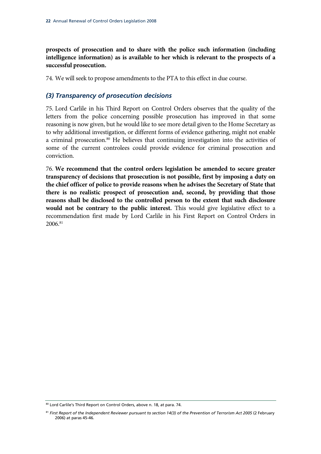**prospects of prosecution and to share with the police such information (including intelligence information) as is available to her which is relevant to the prospects of a successful prosecution.**

74. We will seek to propose amendments to the PTA to this effect in due course.

#### *(3) Transparency of prosecution decisions*

75. Lord Carlile in his Third Report on Control Orders observes that the quality of the letters from the police concerning possible prosecution has improved in that some reasoning is now given, but he would like to see more detail given to the Home Secretary as to why additional investigation, or different forms of evidence gathering, might not enable a criminal prosecution.<sup>80</sup> He believes that continuing investigation into the activities of some of the current controlees could provide evidence for criminal prosecution and conviction.

76. **We recommend that the control orders legislation be amended to secure greater transparency of decisions that prosecution is not possible, first by imposing a duty on the chief officer of police to provide reasons when he advises the Secretary of State that there is no realistic prospect of prosecution and, second, by providing that those reasons shall be disclosed to the controlled person to the extent that such disclosure would not be contrary to the public interest.** This would give legislative effect to a recommendation first made by Lord Carlile in his First Report on Control Orders in 2006.81

<sup>80</sup> Lord Carlile's Third Report on Control Orders, above n. 18, at para. 74.

<sup>81</sup> *First Report of the Independent Reviewer pursuant to section 14(3) of the Prevention of Terrorism Act 2005* (2 February 2006) at paras 45-46.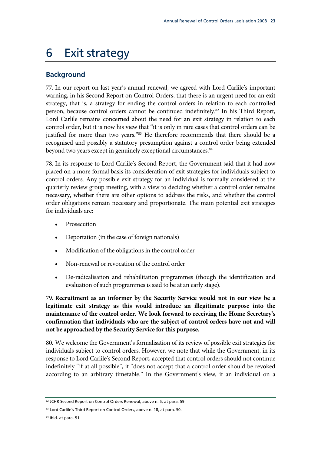### 6 Exit strategy

### **Background**

77. In our report on last year's annual renewal, we agreed with Lord Carlile's important warning, in his Second Report on Control Orders, that there is an urgent need for an exit strategy, that is, a strategy for ending the control orders in relation to each controlled person, because control orders cannot be continued indefinitely.82 In his Third Report, Lord Carlile remains concerned about the need for an exit strategy in relation to each control order, but it is now his view that "it is only in rare cases that control orders can be justified for more than two years."<sup>83</sup> He therefore recommends that there should be a recognised and possibly a statutory presumption against a control order being extended beyond two years except in genuinely exceptional circumstances.<sup>84</sup>

78. In its response to Lord Carlile's Second Report, the Government said that it had now placed on a more formal basis its consideration of exit strategies for individuals subject to control orders. Any possible exit strategy for an individual is formally considered at the quarterly review group meeting, with a view to deciding whether a control order remains necessary, whether there are other options to address the risks, and whether the control order obligations remain necessary and proportionate. The main potential exit strategies for individuals are:

- **Prosecution**
- Deportation (in the case of foreign nationals)
- Modification of the obligations in the control order
- Non-renewal or revocation of the control order
- De-radicalisation and rehabilitation programmes (though the identification and evaluation of such programmes is said to be at an early stage).

79. **Recruitment as an informer by the Security Service would not in our view be a legitimate exit strategy as this would introduce an illegitimate purpose into the maintenance of the control order. We look forward to receiving the Home Secretary's confirmation that individuals who are the subject of control orders have not and will not be approached by the Security Service for this purpose.**

80. We welcome the Government's formalisation of its review of possible exit strategies for individuals subject to control orders. However, we note that while the Government, in its response to Lord Carlile's Second Report, accepted that control orders should not continue indefinitely "if at all possible", it "does not accept that a control order should be revoked according to an arbitrary timetable." In the Government's view, if an individual on a

<sup>82</sup> JCHR Second Report on Control Orders Renewal, above n. 5, at para. 59.

<sup>83</sup> Lord Carlile's Third Report on Control Orders, above n. 18, at para. 50.

<sup>84</sup> Ibid. at para. 51.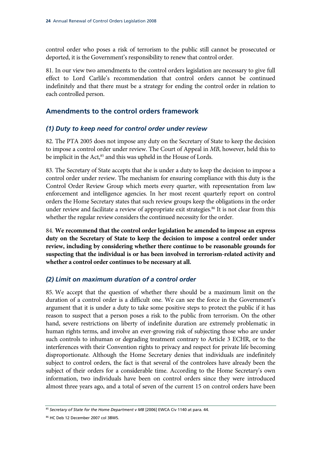control order who poses a risk of terrorism to the public still cannot be prosecuted or deported, it is the Government's responsibility to renew that control order.

81. In our view two amendments to the control orders legislation are necessary to give full effect to Lord Carlile's recommendation that control orders cannot be continued indefinitely and that there must be a strategy for ending the control order in relation to each controlled person.

#### **Amendments to the control orders framework**

#### *(1) Duty to keep need for control order under review*

82. The PTA 2005 does not impose any duty on the Secretary of State to keep the decision to impose a control order under review. The Court of Appeal in *MB*, however, held this to be implicit in the Act,<sup>85</sup> and this was upheld in the House of Lords.

83. The Secretary of State accepts that she is under a duty to keep the decision to impose a control order under review. The mechanism for ensuring compliance with this duty is the Control Order Review Group which meets every quarter, with representation from law enforcement and intelligence agencies. In her most recent quarterly report on control orders the Home Secretary states that such review groups keep the obligations in the order under review and facilitate a review of appropriate exit strategies.<sup>86</sup> It is not clear from this whether the regular review considers the continued necessity for the order.

84. **We recommend that the control order legislation be amended to impose an express duty on the Secretary of State to keep the decision to impose a control order under review, including by considering whether there continue to be reasonable grounds for suspecting that the individual is or has been involved in terrorism-related activity and whether a control order continues to be necessary at all.**

#### *(2) Limit on maximum duration of a control order*

85. We accept that the question of whether there should be a maximum limit on the duration of a control order is a difficult one. We can see the force in the Government's argument that it is under a duty to take some positive steps to protect the public if it has reason to suspect that a person poses a risk to the public from terrorism. On the other hand, severe restrictions on liberty of indefinite duration are extremely problematic in human rights terms, and involve an ever-growing risk of subjecting those who are under such controls to inhuman or degrading treatment contrary to Article 3 ECHR, or to the interferences with their Convention rights to privacy and respect for private life becoming disproportionate. Although the Home Secretary denies that individuals are indefinitely subject to control orders, the fact is that several of the controlees have already been the subject of their orders for a considerable time. According to the Home Secretary's own information, two individuals have been on control orders since they were introduced almost three years ago, and a total of seven of the current 15 on control orders have been

<sup>85</sup> Secretary of State for the Home Department v MB [2006] EWCA Civ 1140 at para. 44.

<sup>86</sup> HC Deb 12 December 2007 col 38WS.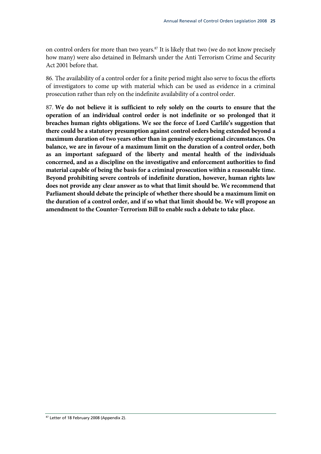on control orders for more than two years.<sup>87</sup> It is likely that two (we do not know precisely how many) were also detained in Belmarsh under the Anti Terrorism Crime and Security Act 2001 before that.

86. The availability of a control order for a finite period might also serve to focus the efforts of investigators to come up with material which can be used as evidence in a criminal prosecution rather than rely on the indefinite availability of a control order.

87. **We do not believe it is sufficient to rely solely on the courts to ensure that the operation of an individual control order is not indefinite or so prolonged that it breaches human rights obligations. We see the force of Lord Carlile's suggestion that there could be a statutory presumption against control orders being extended beyond a maximum duration of two years other than in genuinely exceptional circumstances. On balance, we are in favour of a maximum limit on the duration of a control order, both as an important safeguard of the liberty and mental health of the individuals concerned, and as a discipline on the investigative and enforcement authorities to find material capable of being the basis for a criminal prosecution within a reasonable time. Beyond prohibiting severe controls of indefinite duration, however, human rights law does not provide any clear answer as to what that limit should be. We recommend that Parliament should debate the principle of whether there should be a maximum limit on the duration of a control order, and if so what that limit should be. We will propose an amendment to the Counter-Terrorism Bill to enable such a debate to take place.**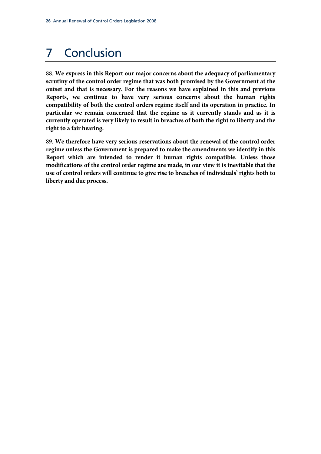# 7 Conclusion

88. **We express in this Report our major concerns about the adequacy of parliamentary scrutiny of the control order regime that was both promised by the Government at the outset and that is necessary. For the reasons we have explained in this and previous Reports, we continue to have very serious concerns about the human rights compatibility of both the control orders regime itself and its operation in practice. In particular we remain concerned that the regime as it currently stands and as it is currently operated is very likely to result in breaches of both the right to liberty and the right to a fair hearing.**

89. **We therefore have very serious reservations about the renewal of the control order regime unless the Government is prepared to make the amendments we identify in this Report which are intended to render it human rights compatible. Unless those modifications of the control order regime are made, in our view it is inevitable that the use of control orders will continue to give rise to breaches of individuals' rights both to liberty and due process.**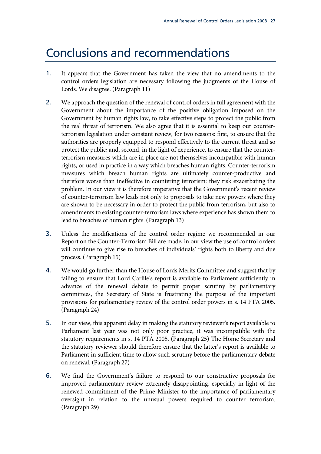### Conclusions and recommendations

- 1. It appears that the Government has taken the view that no amendments to the control orders legislation are necessary following the judgments of the House of Lords. We disagree. (Paragraph 11)
- 2. We approach the question of the renewal of control orders in full agreement with the Government about the importance of the positive obligation imposed on the Government by human rights law, to take effective steps to protect the public from the real threat of terrorism. We also agree that it is essential to keep our counterterrorism legislation under constant review, for two reasons: first, to ensure that the authorities are properly equipped to respond effectively to the current threat and so protect the public; and, second, in the light of experience, to ensure that the counterterrorism measures which are in place are not themselves incompatible with human rights, or used in practice in a way which breaches human rights. Counter-terrorism measures which breach human rights are ultimately counter-productive and therefore worse than ineffective in countering terrorism: they risk exacerbating the problem. In our view it is therefore imperative that the Government's recent review of counter-terrorism law leads not only to proposals to take new powers where they are shown to be necessary in order to protect the public from terrorism, but also to amendments to existing counter-terrorism laws where experience has shown them to lead to breaches of human rights. (Paragraph 13)
- 3. Unless the modifications of the control order regime we recommended in our Report on the Counter-Terrorism Bill are made, in our view the use of control orders will continue to give rise to breaches of individuals' rights both to liberty and due process. (Paragraph 15)
- 4. We would go further than the House of Lords Merits Committee and suggest that by failing to ensure that Lord Carlile's report is available to Parliament sufficiently in advance of the renewal debate to permit proper scrutiny by parliamentary committees, the Secretary of State is frustrating the purpose of the important provisions for parliamentary review of the control order powers in s. 14 PTA 2005. (Paragraph 24)
- 5. In our view, this apparent delay in making the statutory reviewer's report available to Parliament last year was not only poor practice, it was incompatible with the statutory requirements in s. 14 PTA 2005. (Paragraph 25) The Home Secretary and the statutory reviewer should therefore ensure that the latter's report is available to Parliament in sufficient time to allow such scrutiny before the parliamentary debate on renewal. (Paragraph 27)
- 6. We find the Government's failure to respond to our constructive proposals for improved parliamentary review extremely disappointing, especially in light of the renewed commitment of the Prime Minister to the importance of parliamentary oversight in relation to the unusual powers required to counter terrorism. (Paragraph 29)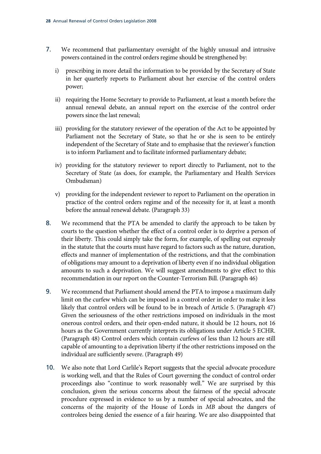- 7. We recommend that parliamentary oversight of the highly unusual and intrusive powers contained in the control orders regime should be strengthened by:
	- i) prescribing in more detail the information to be provided by the Secretary of State in her quarterly reports to Parliament about her exercise of the control orders power;
	- ii) requiring the Home Secretary to provide to Parliament, at least a month before the annual renewal debate, an annual report on the exercise of the control order powers since the last renewal;
	- iii) providing for the statutory reviewer of the operation of the Act to be appointed by Parliament not the Secretary of State, so that he or she is seen to be entirely independent of the Secretary of State and to emphasise that the reviewer's function is to inform Parliament and to facilitate informed parliamentary debate;
	- iv) providing for the statutory reviewer to report directly to Parliament, not to the Secretary of State (as does, for example, the Parliamentary and Health Services Ombudsman)
	- v) providing for the independent reviewer to report to Parliament on the operation in practice of the control orders regime and of the necessity for it, at least a month before the annual renewal debate. (Paragraph 33)
- 8. We recommend that the PTA be amended to clarify the approach to be taken by courts to the question whether the effect of a control order is to deprive a person of their liberty. This could simply take the form, for example, of spelling out expressly in the statute that the courts must have regard to factors such as the nature, duration, effects and manner of implementation of the restrictions, and that the combination of obligations may amount to a deprivation of liberty even if no individual obligation amounts to such a deprivation. We will suggest amendments to give effect to this recommendation in our report on the Counter-Terrorism Bill. (Paragraph 46)
- 9. We recommend that Parliament should amend the PTA to impose a maximum daily limit on the curfew which can be imposed in a control order in order to make it less likely that control orders will be found to be in breach of Article 5. (Paragraph 47) Given the seriousness of the other restrictions imposed on individuals in the most onerous control orders, and their open-ended nature, it should be 12 hours, not 16 hours as the Government currently interprets its obligations under Article 5 ECHR. (Paragraph 48) Control orders which contain curfews of less than 12 hours are still capable of amounting to a deprivation liberty if the other restrictions imposed on the individual are sufficiently severe. (Paragraph 49)
- 10. We also note that Lord Carlile's Report suggests that the special advocate procedure is working well, and that the Rules of Court governing the conduct of control order proceedings also "continue to work reasonably well." We are surprised by this conclusion, given the serious concerns about the fairness of the special advocate procedure expressed in evidence to us by a number of special advocates, and the concerns of the majority of the House of Lords in *MB* about the dangers of controlees being denied the essence of a fair hearing. We are also disappointed that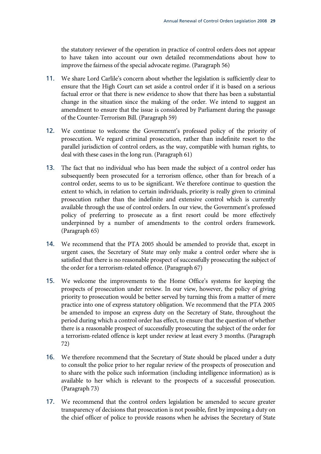the statutory reviewer of the operation in practice of control orders does not appear to have taken into account our own detailed recommendations about how to improve the fairness of the special advocate regime. (Paragraph 56)

- 11. We share Lord Carlile's concern about whether the legislation is sufficiently clear to ensure that the High Court can set aside a control order if it is based on a serious factual error or that there is new evidence to show that there has been a substantial change in the situation since the making of the order. We intend to suggest an amendment to ensure that the issue is considered by Parliament during the passage of the Counter-Terrorism Bill. (Paragraph 59)
- 12. We continue to welcome the Government's professed policy of the priority of prosecution. We regard criminal prosecution, rather than indefinite resort to the parallel jurisdiction of control orders, as the way, compatible with human rights, to deal with these cases in the long run. (Paragraph 61)
- 13. The fact that no individual who has been made the subject of a control order has subsequently been prosecuted for a terrorism offence, other than for breach of a control order, seems to us to be significant. We therefore continue to question the extent to which, in relation to certain individuals, priority is really given to criminal prosecution rather than the indefinite and extensive control which is currently available through the use of control orders. In our view, the Government's professed policy of preferring to prosecute as a first resort could be more effectively underpinned by a number of amendments to the control orders framework. (Paragraph 65)
- 14. We recommend that the PTA 2005 should be amended to provide that, except in urgent cases, the Secretary of State may only make a control order where she is satisfied that there is no reasonable prospect of successfully prosecuting the subject of the order for a terrorism-related offence. (Paragraph 67)
- 15. We welcome the improvements to the Home Office's systems for keeping the prospects of prosecution under review. In our view, however, the policy of giving priority to prosecution would be better served by turning this from a matter of mere practice into one of express statutory obligation. We recommend that the PTA 2005 be amended to impose an express duty on the Secretary of State, throughout the period during which a control order has effect, to ensure that the question of whether there is a reasonable prospect of successfully prosecuting the subject of the order for a terrorism-related offence is kept under review at least every 3 months. (Paragraph 72)
- 16. We therefore recommend that the Secretary of State should be placed under a duty to consult the police prior to her regular review of the prospects of prosecution and to share with the police such information (including intelligence information) as is available to her which is relevant to the prospects of a successful prosecution. (Paragraph 73)
- 17. We recommend that the control orders legislation be amended to secure greater transparency of decisions that prosecution is not possible, first by imposing a duty on the chief officer of police to provide reasons when he advises the Secretary of State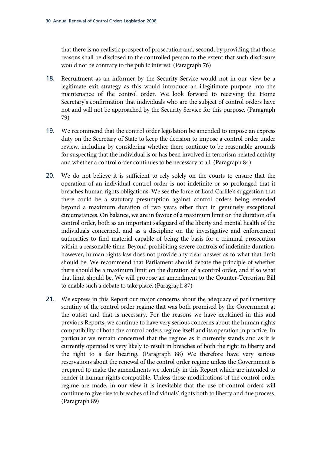that there is no realistic prospect of prosecution and, second, by providing that those reasons shall be disclosed to the controlled person to the extent that such disclosure would not be contrary to the public interest. (Paragraph 76)

- 18. Recruitment as an informer by the Security Service would not in our view be a legitimate exit strategy as this would introduce an illegitimate purpose into the maintenance of the control order. We look forward to receiving the Home Secretary's confirmation that individuals who are the subject of control orders have not and will not be approached by the Security Service for this purpose. (Paragraph 79)
- 19. We recommend that the control order legislation be amended to impose an express duty on the Secretary of State to keep the decision to impose a control order under review, including by considering whether there continue to be reasonable grounds for suspecting that the individual is or has been involved in terrorism-related activity and whether a control order continues to be necessary at all. (Paragraph 84)
- 20. We do not believe it is sufficient to rely solely on the courts to ensure that the operation of an individual control order is not indefinite or so prolonged that it breaches human rights obligations. We see the force of Lord Carlile's suggestion that there could be a statutory presumption against control orders being extended beyond a maximum duration of two years other than in genuinely exceptional circumstances. On balance, we are in favour of a maximum limit on the duration of a control order, both as an important safeguard of the liberty and mental health of the individuals concerned, and as a discipline on the investigative and enforcement authorities to find material capable of being the basis for a criminal prosecution within a reasonable time. Beyond prohibiting severe controls of indefinite duration, however, human rights law does not provide any clear answer as to what that limit should be. We recommend that Parliament should debate the principle of whether there should be a maximum limit on the duration of a control order, and if so what that limit should be. We will propose an amendment to the Counter-Terrorism Bill to enable such a debate to take place. (Paragraph 87)
- 21. We express in this Report our major concerns about the adequacy of parliamentary scrutiny of the control order regime that was both promised by the Government at the outset and that is necessary. For the reasons we have explained in this and previous Reports, we continue to have very serious concerns about the human rights compatibility of both the control orders regime itself and its operation in practice. In particular we remain concerned that the regime as it currently stands and as it is currently operated is very likely to result in breaches of both the right to liberty and the right to a fair hearing. (Paragraph 88) We therefore have very serious reservations about the renewal of the control order regime unless the Government is prepared to make the amendments we identify in this Report which are intended to render it human rights compatible. Unless those modifications of the control order regime are made, in our view it is inevitable that the use of control orders will continue to give rise to breaches of individuals' rights both to liberty and due process. (Paragraph 89)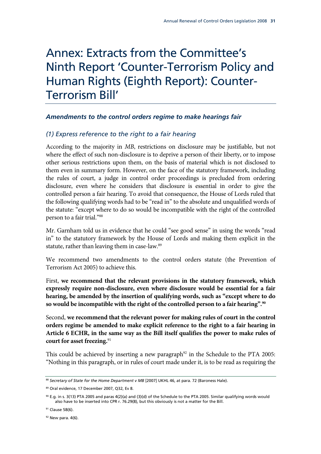## Annex: Extracts from the Committee's Ninth Report 'Counter-Terrorism Policy and Human Rights (Eighth Report): Counter-Terrorism Bill'

#### *Amendments to the control orders regime to make hearings fair*

#### *(1) Express reference to the right to a fair hearing*

According to the majority in *MB*, restrictions on disclosure may be justifiable, but not where the effect of such non-disclosure is to deprive a person of their liberty, or to impose other serious restrictions upon them, on the basis of material which is not disclosed to them even in summary form. However, on the face of the statutory framework, including the rules of court, a judge in control order proceedings is precluded from ordering disclosure, even where he considers that disclosure is essential in order to give the controlled person a fair hearing. To avoid that consequence, the House of Lords ruled that the following qualifying words had to be "read in" to the absolute and unqualified words of the statute: "except where to do so would be incompatible with the right of the controlled person to a fair trial."88

Mr. Garnham told us in evidence that he could "see good sense" in using the words "read in" to the statutory framework by the House of Lords and making them explicit in the statute, rather than leaving them in case-law.<sup>89</sup>

We recommend two amendments to the control orders statute (the Prevention of Terrorism Act 2005) to achieve this.

First, **we recommend that the relevant provisions in the statutory framework, which expressly require non-disclosure, even where disclosure would be essential for a fair hearing, be amended by the insertion of qualifying words, such as "except where to do so would be incompatible with the right of the controlled person to a fair hearing".90**

Second, **we recommend that the relevant power for making rules of court in the control orders regime be amended to make explicit reference to the right to a fair hearing in Article 6 ECHR, in the same way as the Bill itself qualifies the power to make rules of court for asset freezing.**<sup>91</sup>

This could be achieved by inserting a new paragraph<sup>92</sup> in the Schedule to the PTA 2005: "Nothing in this paragraph, or in rules of court made under it, is to be read as requiring the

<sup>88</sup> Secretary of State for the Home Department v MB [2007] UKHL 46, at para. 72 (Baroness Hale).

<sup>89</sup> Oral evidence, 17 December 2007, Q32, Ev 8.

<sup>90</sup> E.g. in s. 3(13) PTA 2005 and paras 4(2)(a) and (3)(d) of the Schedule to the PTA 2005. Similar qualifying words would also have to be inserted into CPR r. 76.29(8), but this obviously is not a matter for the Bill.

<sup>&</sup>lt;sup>91</sup> Clause 58(6).

 $92$  New para. 4(6).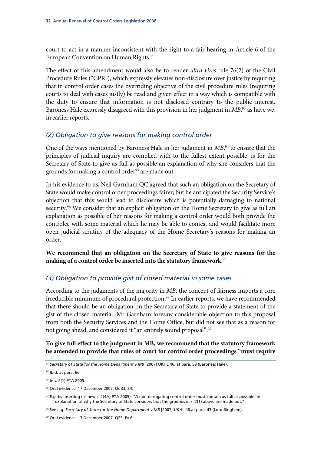court to act in a manner inconsistent with the right to a fair hearing in Article 6 of the European Convention on Human Rights."

The effect of this amendment would also be to render *ultra vires* rule 76(2) of the Civil Procedure Rules ("CPR"), which expressly elevates non-disclosure over justice by requiring that in control order cases the overriding objective of the civil procedure rules (requiring courts to deal with cases justly) be read and given effect in a way which is compatible with the duty to ensure that information is not disclosed contrary to the public interest. Baroness Hale expressly disagreed with this provision in her judgment in *MB*, 93 as have we, in earlier reports.

#### *(2) Obligation to give reasons for making control order*

One of the ways mentioned by Baroness Hale in her judgment in *MB*, 94 to ensure that the principles of judicial inquiry are complied with to the fullest extent possible, is for the Secretary of State to give as full as possible an explanation of why she considers that the grounds for making a control order<sup>95</sup> are made out.

In his evidence to us, Neil Garnham QC agreed that such an obligation on the Secretary of State would make control order proceedings fairer; but he anticipated the Security Service's objection that this would lead to disclosure which is potentially damaging to national security.<sup>96</sup> We consider that an explicit obligation on the Home Secretary to give as full an explanation as possible of her reasons for making a control order would both provide the controlee with some material which he may be able to contest and would facilitate more open judicial scrutiny of the adequacy of the Home Secretary's reasons for making an order.

**We recommend that an obligation on the Secretary of State to give reasons for the making of a control order be inserted into the statutory framework**. 97

#### *(3) Obligation to provide gist of closed material in some cases*

According to the judgments of the majority in *MB*, the concept of fairness imports a core irreducible minimum of procedural protection.<sup>98</sup> In earlier reports, we have recommended that there should be an obligation on the Secretary of State to provide a statement of the gist of the closed material. Mr Garnham foresaw considerable objection to this proposal from both the Security Services and the Home Office, but did not see that as a reason for not going ahead, and considered it "an entirely sound proposal".<sup>99</sup>

**To give full effect to the judgment in MB, we recommend that the statutory framework be amended to provide that rules of court for control order proceedings "must require** 

<sup>93</sup> Secretary of State for the Home Department v MB [2007] UKHL 46, at para. 59 (Baroness Hale).

<sup>94</sup> Ibid. at para. 66.

<sup>95</sup> In s. 2(1) PTA 2005.

<sup>96</sup> Oral evidence, 17 December 2007, Qs 33, 34.

<sup>97</sup> E.g. by inserting (as new s. 2(4A) PTA 2005): "A non-derogating control order must contain as full as possible an explanation of why the Secretary of State considers that the grounds in s. 2(1) above are made out."

<sup>98</sup> See e.g. *Secretary of State for the Home Department v MB* [2007] UKHL 46 at para. 43 (Lord Bingham).

<sup>99</sup> Oral evidence, 17 December 2007, Q23, Ev 6.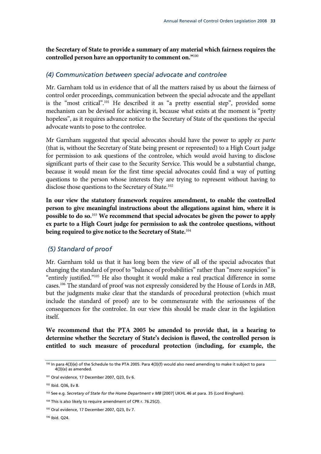**the Secretary of State to provide a summary of any material which fairness requires the controlled person have an opportunity to comment on."**<sup>100</sup>

#### *(4) Communication between special advocate and controlee*

Mr. Garnham told us in evidence that of all the matters raised by us about the fairness of control order proceedings, communication between the special advocate and the appellant is the "most critical".101 He described it as "a pretty essential step", provided some mechanism can be devised for achieving it, because what exists at the moment is "pretty hopeless", as it requires advance notice to the Secretary of State of the questions the special advocate wants to pose to the controlee.

Mr Garnham suggested that special advocates should have the power to apply *ex parte* (that is, without the Secretary of State being present or represented) to a High Court judge for permission to ask questions of the controlee, which would avoid having to disclose significant parts of their case to the Security Service. This would be a substantial change, because it would mean for the first time special advocates could find a way of putting questions to the person whose interests they are trying to represent without having to disclose those questions to the Secretary of State.<sup>102</sup>

**In our view the statutory framework requires amendment, to enable the controlled person to give meaningful instructions about the allegations against him, where it is possible to do so.**<sup>103</sup> **We recommend that special advocates be given the power to apply ex parte to a High Court judge for permission to ask the controlee questions, without being required to give notice to the Secretary of State.**<sup>104</sup>

#### *(5) Standard of proof*

Mr. Garnham told us that it has long been the view of all of the special advocates that changing the standard of proof to "balance of probabilities" rather than "mere suspicion" is "entirely justified."105 He also thought it would make a real practical difference in some cases.106 The standard of proof was not expressly considered by the House of Lords in *MB*, but the judgments make clear that the standards of procedural protection (which must include the standard of proof) are to be commensurate with the seriousness of the consequences for the controlee. In our view this should be made clear in the legislation itself.

**We recommend that the PTA 2005 be amended to provide that, in a hearing to determine whether the Secretary of State's decision is flawed, the controlled person is entitled to such measure of procedural protection (including, for example, the** 

<sup>100</sup> In para 4(3)(e) of the Schedule to the PTA 2005. Para 4(3)(f) would also need amending to make it subject to para  $4(3)(e)$  as amended.

<sup>101</sup> Oral evidence, 17 December 2007, Q23, Ev 6.

<sup>102</sup> Ibid. Q36, Ev 8.

<sup>103</sup> See e.g. *Secretary of State for the Home Department v MB* [2007] UKHL 46 at para. 35 (Lord Bingham).

<sup>&</sup>lt;sup>104</sup> This is also likely to require amendment of CPR r. 76.25(2).

<sup>105</sup> Oral evidence, 17 December 2007, Q23, Ev 7.

<sup>106</sup> Ibid. Q24.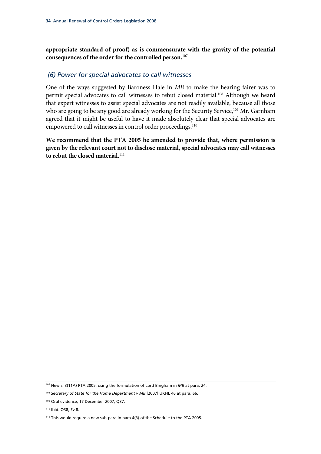**appropriate standard of proof) as is commensurate with the gravity of the potential consequences of the order for the controlled person.**<sup>107</sup>

#### *(6) Power for special advocates to call witnesses*

One of the ways suggested by Baroness Hale in *MB* to make the hearing fairer was to permit special advocates to call witnesses to rebut closed material.<sup>108</sup> Although we heard that expert witnesses to assist special advocates are not readily available, because all those who are going to be any good are already working for the Security Service,<sup>109</sup> Mr. Garnham agreed that it might be useful to have it made absolutely clear that special advocates are empowered to call witnesses in control order proceedings.<sup>110</sup>

**We recommend that the PTA 2005 be amended to provide that, where permission is given by the relevant court not to disclose material, special advocates may call witnesses to rebut the closed material.**<sup>111</sup>

<sup>107</sup> New s. 3(11A) PTA 2005, using the formulation of Lord Bingham in *MB* at para. 24.

<sup>108</sup> *Secretary of State for the Home Department v MB* [2007] UKHL 46 at para. 66.

<sup>109</sup> Oral evidence, 17 December 2007, Q37.

<sup>110</sup> Ibid. Q38, Ev 8.

<sup>111</sup> This would require a new sub-para in para 4(3) of the Schedule to the PTA 2005.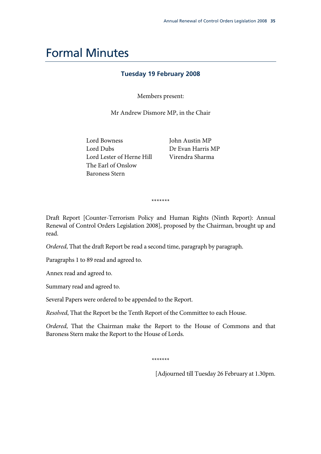### Formal Minutes

#### **Tuesday 19 February 2008**

Members present:

Mr Andrew Dismore MP, in the Chair

Lord Bowness Lord Dubs Lord Lester of Herne Hill The Earl of Onslow Baroness Stern

John Austin MP Dr Evan Harris MP Virendra Sharma

\*\*\*\*\*\*\*

Draft Report [Counter-Terrorism Policy and Human Rights (Ninth Report): Annual Renewal of Control Orders Legislation 2008], proposed by the Chairman, brought up and read.

*Ordered*, That the draft Report be read a second time, paragraph by paragraph.

Paragraphs 1 to 89 read and agreed to.

Annex read and agreed to.

Summary read and agreed to.

Several Papers were ordered to be appended to the Report.

*Resolved*, That the Report be the Tenth Report of the Committee to each House.

*Ordered*, That the Chairman make the Report to the House of Commons and that Baroness Stern make the Report to the House of Lords.

\*\*\*\*\*\*\*

[Adjourned till Tuesday 26 February at 1.30pm.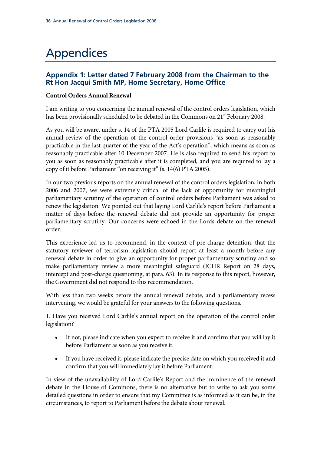# Appendices

### **Appendix 1: Letter dated 7 February 2008 from the Chairman to the Rt Hon Jacqui Smith MP, Home Secretary, Home Office**

#### **Control Orders Annual Renewal**

I am writing to you concerning the annual renewal of the control orders legislation, which has been provisionally scheduled to be debated in the Commons on 21<sup>st</sup> February 2008.

As you will be aware, under s. 14 of the PTA 2005 Lord Carlile is required to carry out his annual review of the operation of the control order provisions "as soon as reasonably practicable in the last quarter of the year of the Act's operation", which means as soon as reasonably practicable after 10 December 2007. He is also required to send his report to you as soon as reasonably practicable after it is completed, and you are required to lay a copy of it before Parliament "on receiving it" (s. 14(6) PTA 2005).

In our two previous reports on the annual renewal of the control orders legislation, in both 2006 and 2007, we were extremely critical of the lack of opportunity for meaningful parliamentary scrutiny of the operation of control orders before Parliament was asked to renew the legislation. We pointed out that laying Lord Carlile's report before Parliament a matter of days before the renewal debate did not provide an opportunity for proper parliamentary scrutiny. Our concerns were echoed in the Lords debate on the renewal order.

This experience led us to recommend, in the context of pre-charge detention, that the statutory reviewer of terrorism legislation should report at least a month before any renewal debate in order to give an opportunity for proper parliamentary scrutiny and so make parliamentary review a more meaningful safeguard (JCHR Report on 28 days, intercept and post-charge questioning, at para. 63). In its response to this report, however, the Government did not respond to this recommendation.

With less than two weeks before the annual renewal debate, and a parliamentary recess intervening, we would be grateful for your answers to the following questions.

1. Have you received Lord Carlile's annual report on the operation of the control order legislation?

- If not, please indicate when you expect to receive it and confirm that you will lay it before Parliament as soon as you receive it.
- If you have received it, please indicate the precise date on which you received it and confirm that you will immediately lay it before Parliament.

In view of the unavailability of Lord Carlile's Report and the imminence of the renewal debate in the House of Commons, there is no alternative but to write to ask you some detailed questions in order to ensure that my Committee is as informed as it can be, in the circumstances, to report to Parliament before the debate about renewal.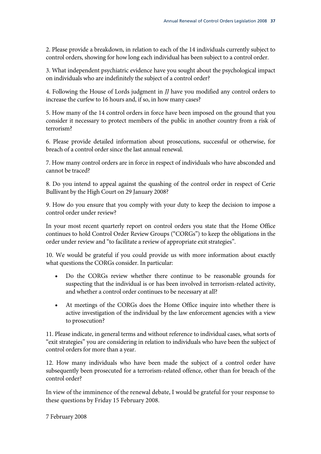2. Please provide a breakdown, in relation to each of the 14 individuals currently subject to control orders, showing for how long each individual has been subject to a control order.

3. What independent psychiatric evidence have you sought about the psychological impact on individuals who are indefinitely the subject of a control order?

4. Following the House of Lords judgment in *JJ* have you modified any control orders to increase the curfew to 16 hours and, if so, in how many cases?

5. How many of the 14 control orders in force have been imposed on the ground that you consider it necessary to protect members of the public in another country from a risk of terrorism?

6. Please provide detailed information about prosecutions, successful or otherwise, for breach of a control order since the last annual renewal.

7. How many control orders are in force in respect of individuals who have absconded and cannot be traced?

8. Do you intend to appeal against the quashing of the control order in respect of Cerie Bullivant by the High Court on 29 January 2008?

9. How do you ensure that you comply with your duty to keep the decision to impose a control order under review?

In your most recent quarterly report on control orders you state that the Home Office continues to hold Control Order Review Groups ("CORGs") to keep the obligations in the order under review and "to facilitate a review of appropriate exit strategies".

10. We would be grateful if you could provide us with more information about exactly what questions the CORGs consider. In particular:

- Do the CORGs review whether there continue to be reasonable grounds for suspecting that the individual is or has been involved in terrorism-related activity, and whether a control order continues to be necessary at all?
- At meetings of the CORGs does the Home Office inquire into whether there is active investigation of the individual by the law enforcement agencies with a view to prosecution?

11. Please indicate, in general terms and without reference to individual cases, what sorts of "exit strategies" you are considering in relation to individuals who have been the subject of control orders for more than a year.

12. How many individuals who have been made the subject of a control order have subsequently been prosecuted for a terrorism-related offence, other than for breach of the control order?

In view of the imminence of the renewal debate, I would be grateful for your response to these questions by Friday 15 February 2008.

7 February 2008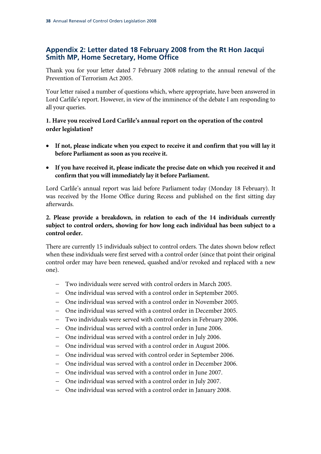### **Appendix 2: Letter dated 18 February 2008 from the Rt Hon Jacqui Smith MP, Home Secretary, Home Office**

Thank you for your letter dated 7 February 2008 relating to the annual renewal of the Prevention of Terrorism Act 2005.

Your letter raised a number of questions which, where appropriate, have been answered in Lord Carlile's report. However, in view of the imminence of the debate I am responding to all your queries.

#### **1. Have you received Lord Carlile's annual report on the operation of the control order legislation?**

- **If not, please indicate when you expect to receive it and confirm that you will lay it before Parliament as soon as you receive it.**
- **If you have received it, please indicate the precise date on which you received it and confirm that you will immediately lay it before Parliament.**

Lord Carlile's annual report was laid before Parliament today (Monday 18 February). It was received by the Home Office during Recess and published on the first sitting day afterwards.

#### **2. Please provide a breakdown, in relation to each of the 14 individuals currently subject to control orders, showing for how long each individual has been subject to a control order.**

There are currently 15 individuals subject to control orders. The dates shown below reflect when these individuals were first served with a control order (since that point their original control order may have been renewed, quashed and/or revoked and replaced with a new one).

- − Two individuals were served with control orders in March 2005.
- − One individual was served with a control order in September 2005.
- − One individual was served with a control order in November 2005.
- − One individual was served with a control order in December 2005.
- − Two individuals were served with control orders in February 2006.
- − One individual was served with a control order in June 2006.
- − One individual was served with a control order in July 2006.
- − One individual was served with a control order in August 2006.
- − One individual was served with control order in September 2006.
- − One individual was served with a control order in December 2006.
- − One individual was served with a control order in June 2007.
- − One individual was served with a control order in July 2007.
- − One individual was served with a control order in January 2008.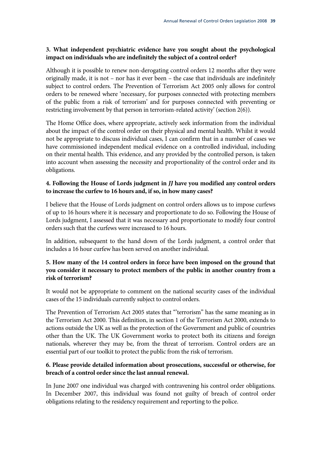#### **3. What independent psychiatric evidence have you sought about the psychological impact on individuals who are indefinitely the subject of a control order?**

Although it is possible to renew non-derogating control orders 12 months after they were originally made, it is not – nor has it ever been – the case that individuals are indefinitely subject to control orders. The Prevention of Terrorism Act 2005 only allows for control orders to be renewed where 'necessary, for purposes connected with protecting members of the public from a risk of terrorism' and for purposes connected with preventing or restricting involvement by that person in terrorism-related activity' (section 2(6)).

The Home Office does, where appropriate, actively seek information from the individual about the impact of the control order on their physical and mental health. Whilst it would not be appropriate to discuss individual cases, I can confirm that in a number of cases we have commissioned independent medical evidence on a controlled individual, including on their mental health. This evidence, and any provided by the controlled person, is taken into account when assessing the necessity and proportionality of the control order and its obligations.

#### **4. Following the House of Lords judgment in** *JJ* **have you modified any control orders to increase the curfew to 16 hours and, if so, in how many cases?**

I believe that the House of Lords judgment on control orders allows us to impose curfews of up to 16 hours where it is necessary and proportionate to do so. Following the House of Lords judgment, I assessed that it was necessary and proportionate to modify four control orders such that the curfews were increased to 16 hours.

In addition, subsequent to the hand down of the Lords judgment, a control order that includes a 16 hour curfew has been served on another individual.

#### **5. How many of the 14 control orders in force have been imposed on the ground that you consider it necessary to protect members of the public in another country from a risk of terrorism?**

It would not be appropriate to comment on the national security cases of the individual cases of the 15 individuals currently subject to control orders.

The Prevention of Terrorism Act 2005 states that "'terrorism" has the same meaning as in the Terrorism Act 2000. This definition, in section 1 of the Terrorism Act 2000, extends to actions outside the UK as well as the protection of the Government and public of countries other than the UK. The UK Government works to protect both its citizens and foreign nationals, wherever they may be, from the threat of terrorism. Control orders are an essential part of our toolkit to protect the public from the risk of terrorism.

#### **6. Please provide detailed information about prosecutions, successful or otherwise, for breach of a control order since the last annual renewal.**

In June 2007 one individual was charged with contravening his control order obligations. In December 2007, this individual was found not guilty of breach of control order obligations relating to the residency requirement and reporting to the police.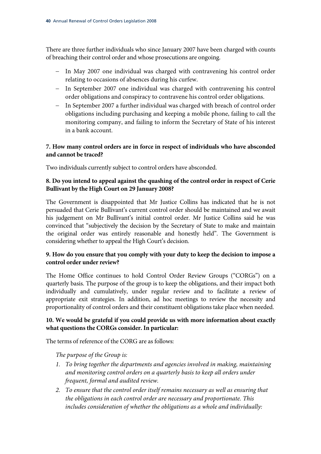There are three further individuals who since January 2007 have been charged with counts of breaching their control order and whose prosecutions are ongoing.

- − In May 2007 one individual was charged with contravening his control order relating to occasions of absences during his curfew.
- − In September 2007 one individual was charged with contravening his control order obligations and conspiracy to contravene his control order obligations.
- − In September 2007 a further individual was charged with breach of control order obligations including purchasing and keeping a mobile phone, failing to call the monitoring company, and failing to inform the Secretary of State of his interest in a bank account.

#### **7. How many control orders are in force in respect of individuals who have absconded and cannot be traced?**

Two individuals currently subject to control orders have absconded.

#### **8. Do you intend to appeal against the quashing of the control order in respect of Cerie Bullivant by the High Court on 29 January 2008?**

The Government is disappointed that Mr Justice Collins has indicated that he is not persuaded that Cerie Bullivant's current control order should be maintained and we await his judgement on Mr Bullivant's initial control order. Mr Justice Collins said he was convinced that "subjectively the decision by the Secretary of State to make and maintain the original order was entirely reasonable and honestly held". The Government is considering whether to appeal the High Court's decision.

#### **9. How do you ensure that you comply with your duty to keep the decision to impose a control order under review?**

The Home Office continues to hold Control Order Review Groups ("CORGs") on a quarterly basis. The purpose of the group is to keep the obligations, and their impact both individually and cumulatively, under regular review and to facilitate a review of appropriate exit strategies. In addition, ad hoc meetings to review the necessity and proportionality of control orders and their constituent obligations take place when needed.

#### **10. We would be grateful if you could provide us with more information about exactly what questions the CORGs consider. In particular:**

The terms of reference of the CORG are as follows:

*The purpose of the Group is:* 

- *1. To bring together the departments and agencies involved in making, maintaining and monitoring control orders on a quarterly basis to keep all orders under frequent, formal and audited review.*
- *2. To ensure that the control order itself remains necessary as well as ensuring that the obligations in each control order are necessary and proportionate. This includes consideration of whether the obligations as a whole and individually:*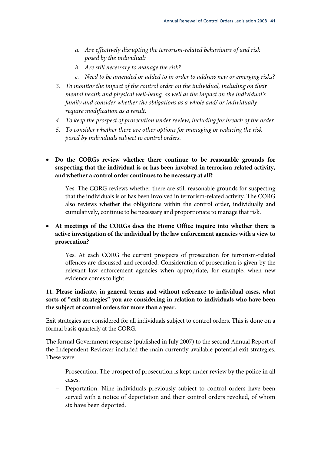- *a. Are effectively disrupting the terrorism-related behaviours of and risk posed by the individual?*
- *b. Are still necessary to manage the risk?*
- *c. Need to be amended or added to in order to address new or emerging risks?*
- *3. To monitor the impact of the control order on the individual, including on their mental health and physical well-being, as well as the impact on the individual's family and consider whether the obligations as a whole and/ or individually require modification as a result.*
- *4. To keep the prospect of prosecution under review, including for breach of the order.*
- *5. To consider whether there are other options for managing or reducing the risk posed by individuals subject to control orders.*

• **Do the CORGs review whether there continue to be reasonable grounds for suspecting that the individual is or has been involved in terrorism-related activity, and whether a control order continues to be necessary at all?** 

Yes. The CORG reviews whether there are still reasonable grounds for suspecting that the individuals is or has been involved in terrorism-related activity. The CORG also reviews whether the obligations within the control order, individually and cumulatively, continue to be necessary and proportionate to manage that risk.

#### • **At meetings of the CORGs does the Home Office inquire into whether there is active investigation of the individual by the law enforcement agencies with a view to prosecution?**

Yes. At each CORG the current prospects of prosecution for terrorism-related offences are discussed and recorded. Consideration of prosecution is given by the relevant law enforcement agencies when appropriate, for example, when new evidence comes to light.

#### **11. Please indicate, in general terms and without reference to individual cases, what sorts of "exit strategies" you are considering in relation to individuals who have been the subject of control orders for more than a year.**

Exit strategies are considered for all individuals subject to control orders. This is done on a formal basis quarterly at the CORG.

The formal Government response (published in July 2007) to the second Annual Report of the Independent Reviewer included the main currently available potential exit strategies. These were:

- − Prosecution. The prospect of prosecution is kept under review by the police in all cases.
- − Deportation. Nine individuals previously subject to control orders have been served with a notice of deportation and their control orders revoked, of whom six have been deported.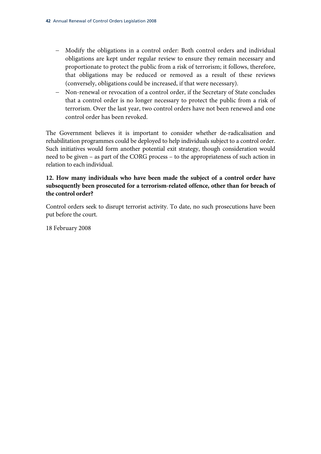- − Modify the obligations in a control order: Both control orders and individual obligations are kept under regular review to ensure they remain necessary and proportionate to protect the public from a risk of terrorism; it follows, therefore, that obligations may be reduced or removed as a result of these reviews (conversely, obligations could be increased, if that were necessary).
- − Non-renewal or revocation of a control order, if the Secretary of State concludes that a control order is no longer necessary to protect the public from a risk of terrorism. Over the last year, two control orders have not been renewed and one control order has been revoked.

The Government believes it is important to consider whether de-radicalisation and rehabilitation programmes could be deployed to help individuals subject to a control order. Such initiatives would form another potential exit strategy, though consideration would need to be given – as part of the CORG process – to the appropriateness of such action in relation to each individual.

#### **12. How many individuals who have been made the subject of a control order have subsequently been prosecuted for a terrorism-related offence, other than for breach of the control order?**

Control orders seek to disrupt terrorist activity. To date, no such prosecutions have been put before the court.

18 February 2008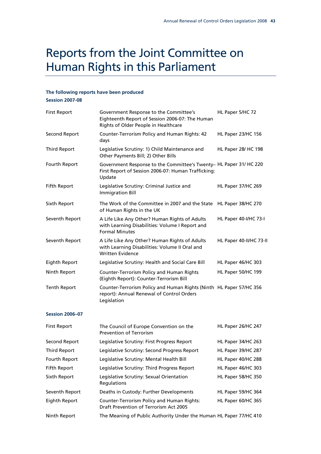### Reports from the Joint Committee on Human Rights in this Parliament

#### **The following reports have been produced Session 2007-08**

First Report Government Response to the Committee's Eighteenth Report of Session 2006-07: The Human Rights of Older People in Healthcare HL Paper 5/HC 72 Second Report Counter-Terrorism Policy and Human Rights: 42 days HL Paper 23/HC 156 Third Report Legislative Scrutiny: 1) Child Maintenance and Other Payments Bill; 2) Other Bills HL Paper 28/ HC 198 Fourth Report Government Response to the Committee's Twenty– HL Paper 31/ HC 220 First Report of Session 2006-07: Human Trafficking: Update Fifth Report Legislative Scrutiny: Criminal Justice and Immigration Bill HL Paper 37/HC 269 Sixth Report The Work of the Committee in 2007 and the State HL Paper 38/HC 270 of Human Rights in the UK Seventh Report A Life Like Any Other? Human Rights of Adults with Learning Disabilities: Volume I Report and Formal Minutes HL Paper 40-I/HC 73-I Seventh Report A Life Like Any Other? Human Rights of Adults with Learning Disabilities: Volume II Oral and Written Evidence HL Paper 40-II/HC 73-II Eighth Report Legislative Scrutiny: Health and Social Care Bill HL Paper 46/HC 303 Ninth Report Counter-Terrorism Policy and Human Rights (Eighth Report): Counter-Terrorism Bill HL Paper 50/HC 199 Tenth Report Counter-Terrorism Policy and Human Rights (Ninth HL Paper 57/HC 356 report): Annual Renewal of Control Orders Legislation

#### **Session 2006–07**

| <b>First Report</b> | The Council of Europe Convention on the<br><b>Prevention of Terrorism</b>                          | HL Paper 26/HC 247 |
|---------------------|----------------------------------------------------------------------------------------------------|--------------------|
| Second Report       | Legislative Scrutiny: First Progress Report                                                        | HL Paper 34/HC 263 |
| Third Report        | Legislative Scrutiny: Second Progress Report                                                       | HL Paper 39/HC 287 |
| Fourth Report       | Legislative Scrutiny: Mental Health Bill                                                           | HL Paper 40/HC 288 |
| Fifth Report        | Legislative Scrutiny: Third Progress Report                                                        | HL Paper 46/HC 303 |
| Sixth Report        | Legislative Scrutiny: Sexual Orientation<br>Regulations                                            | HL Paper 58/HC 350 |
| Seventh Report      | Deaths in Custody: Further Developments                                                            | HL Paper 59/HC 364 |
| Eighth Report       | <b>Counter-Terrorism Policy and Human Rights:</b><br><b>Draft Prevention of Terrorism Act 2005</b> | HL Paper 60/HC 365 |
| Ninth Report        | The Meaning of Public Authority Under the Human HL Paper 77/HC 410                                 |                    |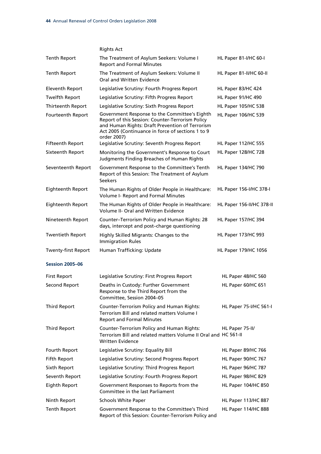|                            | <b>Rights Act</b>                                                                                                                                                                                                        |                            |
|----------------------------|--------------------------------------------------------------------------------------------------------------------------------------------------------------------------------------------------------------------------|----------------------------|
| Tenth Report               | The Treatment of Asylum Seekers: Volume I<br><b>Report and Formal Minutes</b>                                                                                                                                            | HL Paper 81-I/HC 60-I      |
| <b>Tenth Report</b>        | The Treatment of Asylum Seekers: Volume II<br>Oral and Written Evidence                                                                                                                                                  | HL Paper 81-II/HC 60-II    |
| <b>Eleventh Report</b>     | Legislative Scrutiny: Fourth Progress Report                                                                                                                                                                             | HL Paper 83/HC 424         |
| <b>Twelfth Report</b>      | Legislative Scrutiny: Fifth Progress Report                                                                                                                                                                              | HL Paper 91/HC 490         |
| Thirteenth Report          | Legislative Scrutiny: Sixth Progress Report                                                                                                                                                                              | <b>HL Paper 105/HC 538</b> |
| Fourteenth Report          | Government Response to the Committee's Eighth<br>Report of this Session: Counter-Terrorism Policy<br>and Human Rights: Draft Prevention of Terrorism<br>Act 2005 (Continuance in force of sections 1 to 9<br>order 2007) | HL Paper 106/HC 539        |
| <b>Fifteenth Report</b>    | Legislative Scrutiny: Seventh Progress Report                                                                                                                                                                            | HL Paper 112/HC 555        |
| Sixteenth Report           | Monitoring the Government's Response to Court<br>Judgments Finding Breaches of Human Rights                                                                                                                              | <b>HL Paper 128/HC 728</b> |
| Seventeenth Report         | Government Response to the Committee's Tenth<br>Report of this Session: The Treatment of Asylum<br><b>Seekers</b>                                                                                                        | <b>HL Paper 134/HC 790</b> |
| Eighteenth Report          | The Human Rights of Older People in Healthcare:<br>Volume I- Report and Formal Minutes                                                                                                                                   | HL Paper 156-I/HC 378-I    |
| Eighteenth Report          | The Human Rights of Older People in Healthcare:<br><b>Volume II- Oral and Written Evidence</b>                                                                                                                           | HL Paper 156-II/HC 378-II  |
| Nineteenth Report          | Counter-Terrorism Policy and Human Rights: 28<br>days, intercept and post-charge questioning                                                                                                                             | HL Paper 157/HC 394        |
| <b>Twentieth Report</b>    | Highly Skilled Migrants: Changes to the<br><b>Immigration Rules</b>                                                                                                                                                      | HL Paper 173/HC 993        |
| <b>Twenty-first Report</b> | Human Trafficking: Update                                                                                                                                                                                                | HL Paper 179/HC 1056       |
| <b>Session 2005-06</b>     |                                                                                                                                                                                                                          |                            |
| <b>First Report</b>        | Legislative Scrutiny: First Progress Report                                                                                                                                                                              | HL Paper 48/HC 560         |
| Second Report              | Deaths in Custody: Further Government<br>Response to the Third Report from the<br>Committee, Session 2004-05                                                                                                             | HL Paper 60/HC 651         |
| <b>Third Report</b>        | <b>Counter-Terrorism Policy and Human Rights:</b><br>Terrorism Bill and related matters Volume I<br><b>Report and Formal Minutes</b>                                                                                     | HL Paper 75-I/HC 561-I     |
| <b>Third Report</b>        | <b>Counter-Terrorism Policy and Human Rights:</b><br>Terrorism Bill and related matters Volume II Oral and HC 561-II<br><b>Written Evidence</b>                                                                          | HL Paper 75-II/            |
| Fourth Report              | Legislative Scrutiny: Equality Bill                                                                                                                                                                                      | <b>HL Paper 89/HC 766</b>  |
| Fifth Report               | Legislative Scrutiny: Second Progress Report                                                                                                                                                                             | <b>HL Paper 90/HC 767</b>  |
| Sixth Report               | Legislative Scrutiny: Third Progress Report                                                                                                                                                                              | <b>HL Paper 96/HC 787</b>  |
| Seventh Report             | Legislative Scrutiny: Fourth Progress Report                                                                                                                                                                             | HL Paper 98/HC 829         |
| Eighth Report              | Government Responses to Reports from the<br>Committee in the last Parliament                                                                                                                                             | HL Paper 104/HC 850        |
| Ninth Report               | Schools White Paper                                                                                                                                                                                                      | HL Paper 113/HC 887        |
| Tenth Report               | Government Response to the Committee's Third<br>Report of this Session: Counter-Terrorism Policy and                                                                                                                     | HL Paper 114/HC 888        |